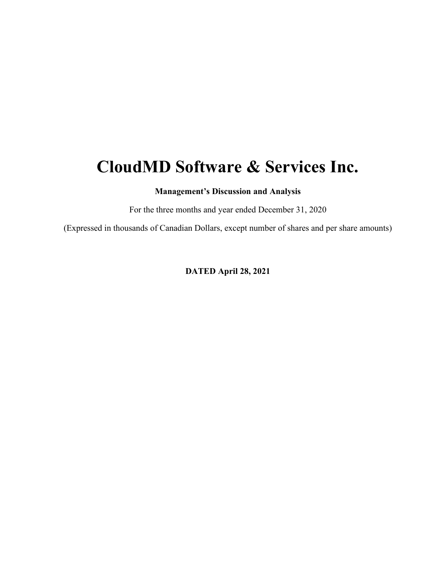# **CloudMD Software & Services Inc.**

**Management's Discussion and Analysis** 

For the three months and year ended December 31, 2020

(Expressed in thousands of Canadian Dollars, except number of shares and per share amounts)

**DATED April 28, 2021**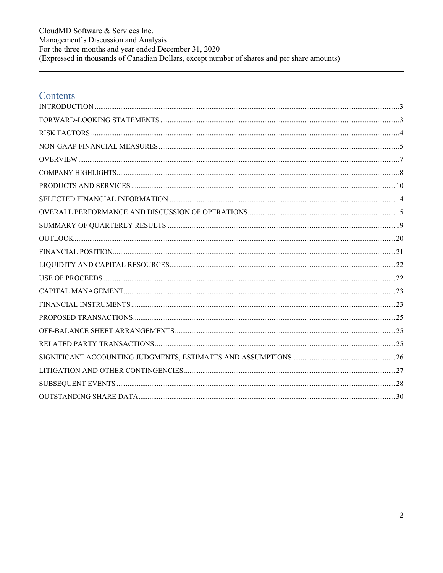CloudMD Software & Services Inc. Management's Discussion and Analysis For the three months and year ended December 31, 2020<br>(Expressed in thousands of Canadian Dollars, except number of shares and per share amounts)

# Contents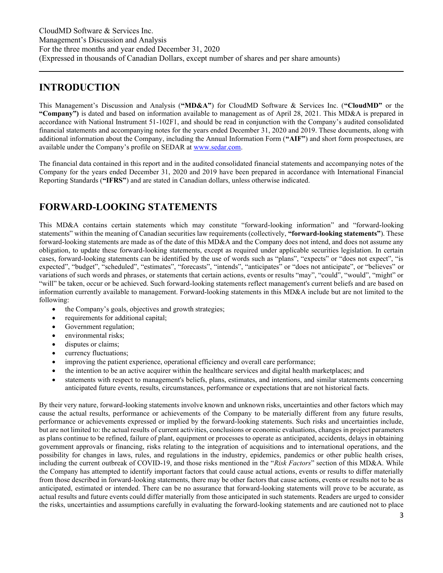### <span id="page-2-0"></span>**INTRODUCTION**

This Management's Discussion and Analysis (**"MD&A"**) for CloudMD Software & Services Inc. (**"CloudMD"** or the **"Company")** is dated and based on information available to management as of April 28, 2021. This MD&A is prepared in accordance with National Instrument 51-102F1, and should be read in conjunction with the Company's audited consolidated financial statements and accompanying notes for the years ended December 31, 2020 and 2019. These documents, along with additional information about the Company, including the Annual Information Form (**"AIF"**) and short form prospectuses, are available under the Company's profile on SEDAR at [www.sedar.com.](http://www.sedar.com/)

The financial data contained in this report and in the audited consolidated financial statements and accompanying notes of the Company for the years ended December 31, 2020 and 2019 have been prepared in accordance with International Financial Reporting Standards (**"IFRS"**) and are stated in Canadian dollars, unless otherwise indicated.

### <span id="page-2-1"></span>**FORWARD-LOOKING STATEMENTS**

This MD&A contains certain statements which may constitute "forward-looking information" and "forward-looking statements" within the meaning of Canadian securities law requirements (collectively, **"forward-looking statements"**). These forward-looking statements are made as of the date of this MD&A and the Company does not intend, and does not assume any obligation, to update these forward-looking statements, except as required under applicable securities legislation. In certain cases, forward-looking statements can be identified by the use of words such as "plans", "expects" or "does not expect", "is expected", "budget", "scheduled", "estimates", "forecasts", "intends", "anticipates" or "does not anticipate", or "believes" or variations of such words and phrases, or statements that certain actions, events or results "may", "could", "would", "might" or "will" be taken, occur or be achieved. Such forward-looking statements reflect management's current beliefs and are based on information currently available to management. Forward-looking statements in this MD&A include but are not limited to the following:

- the Company's goals, objectives and growth strategies;
- requirements for additional capital;
- Government regulation;
- environmental risks;
- disputes or claims;
- currency fluctuations;
- improving the patient experience, operational efficiency and overall care performance;
- the intention to be an active acquirer within the healthcare services and digital health marketplaces; and
- statements with respect to management's beliefs, plans, estimates, and intentions, and similar statements concerning anticipated future events, results, circumstances, performance or expectations that are not historical facts.

By their very nature, forward-looking statements involve known and unknown risks, uncertainties and other factors which may cause the actual results, performance or achievements of the Company to be materially different from any future results, performance or achievements expressed or implied by the forward-looking statements. Such risks and uncertainties include, but are not limited to: the actual results of current activities, conclusions or economic evaluations, changes in project parameters as plans continue to be refined, failure of plant, equipment or processes to operate as anticipated, accidents, delays in obtaining government approvals or financing, risks relating to the integration of acquisitions and to international operations, and the possibility for changes in laws, rules, and regulations in the industry, epidemics, pandemics or other public health crises, including the current outbreak of COVID-19, and those risks mentioned in the "*Risk Factors*" section of this MD&A. While the Company has attempted to identify important factors that could cause actual actions, events or results to differ materially from those described in forward-looking statements, there may be other factors that cause actions, events or results not to be as anticipated, estimated or intended. There can be no assurance that forward-looking statements will prove to be accurate, as actual results and future events could differ materially from those anticipated in such statements. Readers are urged to consider the risks, uncertainties and assumptions carefully in evaluating the forward-looking statements and are cautioned not to place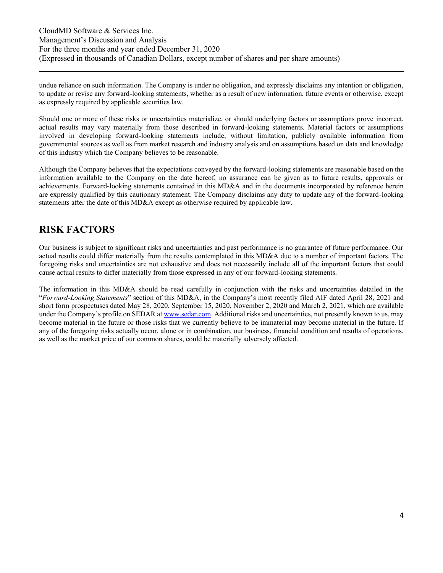undue reliance on such information. The Company is under no obligation, and expressly disclaims any intention or obligation, to update or revise any forward-looking statements, whether as a result of new information, future events or otherwise, except as expressly required by applicable securities law.

Should one or more of these risks or uncertainties materialize, or should underlying factors or assumptions prove incorrect, actual results may vary materially from those described in forward-looking statements. Material factors or assumptions involved in developing forward-looking statements include, without limitation, publicly available information from governmental sources as well as from market research and industry analysis and on assumptions based on data and knowledge of this industry which the Company believes to be reasonable.

Although the Company believes that the expectations conveyed by the forward-looking statements are reasonable based on the information available to the Company on the date hereof, no assurance can be given as to future results, approvals or achievements. Forward-looking statements contained in this MD&A and in the documents incorporated by reference herein are expressly qualified by this cautionary statement. The Company disclaims any duty to update any of the forward-looking statements after the date of this MD&A except as otherwise required by applicable law.

### <span id="page-3-0"></span>**RISK FACTORS**

Our business is subject to significant risks and uncertainties and past performance is no guarantee of future performance. Our actual results could differ materially from the results contemplated in this MD&A due to a number of important factors. The foregoing risks and uncertainties are not exhaustive and does not necessarily include all of the important factors that could cause actual results to differ materially from those expressed in any of our forward-looking statements.

The information in this MD&A should be read carefully in conjunction with the risks and uncertainties detailed in the "*Forward-Looking Statements*" section of this MD&A, in the Company's most recently filed AIF dated April 28, 2021 and short form prospectuses dated May 28, 2020, September 15, 2020, November 2, 2020 and March 2, 2021, which are available under the Company's profile on SEDAR at [www.sedar.com.](http://www.sedar.com/) Additional risks and uncertainties, not presently known to us, may become material in the future or those risks that we currently believe to be immaterial may become material in the future. If any of the foregoing risks actually occur, alone or in combination, our business, financial condition and results of operations, as well as the market price of our common shares, could be materially adversely affected.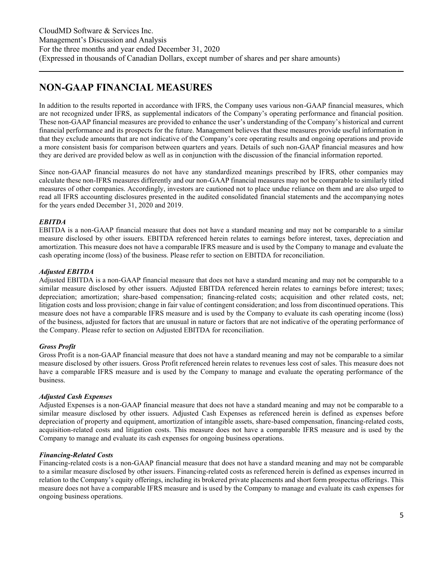### <span id="page-4-0"></span>**NON-GAAP FINANCIAL MEASURES**

In addition to the results reported in accordance with IFRS, the Company uses various non-GAAP financial measures, which are not recognized under IFRS, as supplemental indicators of the Company's operating performance and financial position. These non-GAAP financial measures are provided to enhance the user's understanding of the Company's historical and current financial performance and its prospects for the future. Management believes that these measures provide useful information in that they exclude amounts that are not indicative of the Company's core operating results and ongoing operations and provide a more consistent basis for comparison between quarters and years. Details of such non-GAAP financial measures and how they are derived are provided below as well as in conjunction with the discussion of the financial information reported.

Since non-GAAP financial measures do not have any standardized meanings prescribed by IFRS, other companies may calculate these non-IFRS measures differently and our non-GAAP financial measures may not be comparable to similarly titled measures of other companies. Accordingly, investors are cautioned not to place undue reliance on them and are also urged to read all IFRS accounting disclosures presented in the audited consolidated financial statements and the accompanying notes for the years ended December 31, 2020 and 2019.

#### *EBITDA*

EBITDA is a non-GAAP financial measure that does not have a standard meaning and may not be comparable to a similar measure disclosed by other issuers. EBITDA referenced herein relates to earnings before interest, taxes, depreciation and amortization. This measure does not have a comparable IFRS measure and is used by the Company to manage and evaluate the cash operating income (loss) of the business. Please refer to section on EBITDA for reconciliation.

#### *Adjusted EBITDA*

Adjusted EBITDA is a non-GAAP financial measure that does not have a standard meaning and may not be comparable to a similar measure disclosed by other issuers. Adjusted EBITDA referenced herein relates to earnings before interest; taxes; depreciation; amortization; share-based compensation; financing-related costs; acquisition and other related costs, net; litigation costs and loss provision; change in fair value of contingent consideration; and loss from discontinued operations. This measure does not have a comparable IFRS measure and is used by the Company to evaluate its cash operating income (loss) of the business, adjusted for factors that are unusual in nature or factors that are not indicative of the operating performance of the Company. Please refer to section on Adjusted EBITDA for reconciliation.

#### *Gross Profit*

Gross Profit is a non-GAAP financial measure that does not have a standard meaning and may not be comparable to a similar measure disclosed by other issuers. Gross Profit referenced herein relates to revenues less cost of sales. This measure does not have a comparable IFRS measure and is used by the Company to manage and evaluate the operating performance of the business.

#### *Adjusted Cash Expenses*

Adjusted Expenses is a non-GAAP financial measure that does not have a standard meaning and may not be comparable to a similar measure disclosed by other issuers. Adjusted Cash Expenses as referenced herein is defined as expenses before depreciation of property and equipment, amortization of intangible assets, share-based compensation, financing-related costs, acquisition-related costs and litigation costs. This measure does not have a comparable IFRS measure and is used by the Company to manage and evaluate its cash expenses for ongoing business operations.

#### *Financing-Related Costs*

Financing-related costs is a non-GAAP financial measure that does not have a standard meaning and may not be comparable to a similar measure disclosed by other issuers. Financing-related costs as referenced herein is defined as expenses incurred in relation to the Company's equity offerings, including its brokered private placements and short form prospectus offerings. This measure does not have a comparable IFRS measure and is used by the Company to manage and evaluate its cash expenses for ongoing business operations.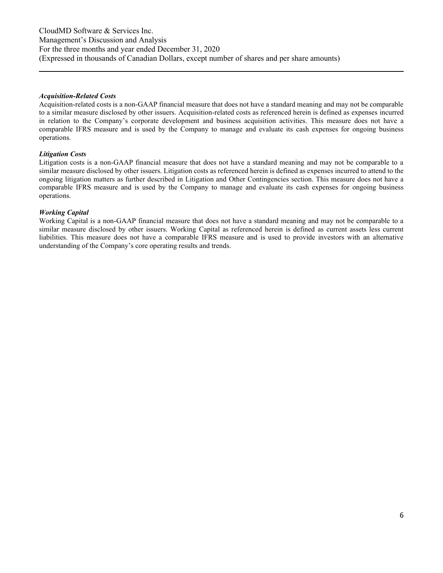#### *Acquisition-Related Costs*

Acquisition-related costs is a non-GAAP financial measure that does not have a standard meaning and may not be comparable to a similar measure disclosed by other issuers. Acquisition-related costs as referenced herein is defined as expenses incurred in relation to the Company's corporate development and business acquisition activities. This measure does not have a comparable IFRS measure and is used by the Company to manage and evaluate its cash expenses for ongoing business operations.

#### *Litigation Costs*

Litigation costs is a non-GAAP financial measure that does not have a standard meaning and may not be comparable to a similar measure disclosed by other issuers. Litigation costs as referenced herein is defined as expenses incurred to attend to the ongoing litigation matters as further described in Litigation and Other Contingencies section. This measure does not have a comparable IFRS measure and is used by the Company to manage and evaluate its cash expenses for ongoing business operations.

#### *Working Capital*

Working Capital is a non-GAAP financial measure that does not have a standard meaning and may not be comparable to a similar measure disclosed by other issuers. Working Capital as referenced herein is defined as current assets less current liabilities. This measure does not have a comparable IFRS measure and is used to provide investors with an alternative understanding of the Company's core operating results and trends.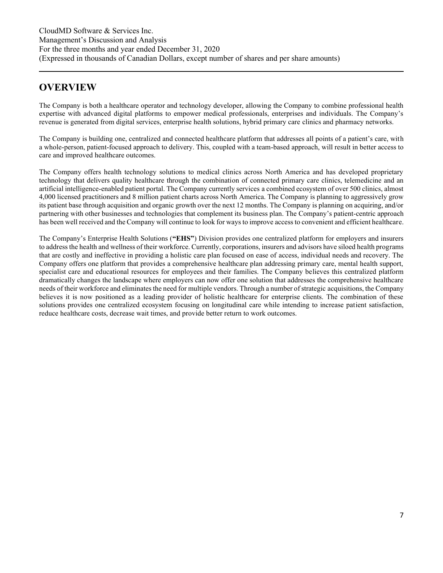### <span id="page-6-0"></span>**OVERVIEW**

The Company is both a healthcare operator and technology developer, allowing the Company to combine professional health expertise with advanced digital platforms to empower medical professionals, enterprises and individuals. The Company's revenue is generated from digital services, enterprise health solutions, hybrid primary care clinics and pharmacy networks.

The Company is building one, centralized and connected healthcare platform that addresses all points of a patient's care, with a whole-person, patient-focused approach to delivery. This, coupled with a team-based approach, will result in better access to care and improved healthcare outcomes.

The Company offers health technology solutions to medical clinics across North America and has developed proprietary technology that delivers quality healthcare through the combination of connected primary care clinics, telemedicine and an artificial intelligence-enabled patient portal. The Company currently services a combined ecosystem of over 500 clinics, almost 4,000 licensed practitioners and 8 million patient charts across North America. The Company is planning to aggressively grow its patient base through acquisition and organic growth over the next 12 months. The Company is planning on acquiring, and/or partnering with other businesses and technologies that complement its business plan. The Company's patient-centric approach has been well received and the Company will continue to look for ways to improve access to convenient and efficient healthcare.

The Company's Enterprise Health Solutions (**"EHS"**) Division provides one centralized platform for employers and insurers to address the health and wellness of their workforce. Currently, corporations, insurers and advisors have siloed health programs that are costly and ineffective in providing a holistic care plan focused on ease of access, individual needs and recovery. The Company offers one platform that provides a comprehensive healthcare plan addressing primary care, mental health support, specialist care and educational resources for employees and their families. The Company believes this centralized platform dramatically changes the landscape where employers can now offer one solution that addresses the comprehensive healthcare needs of their workforce and eliminates the need for multiple vendors. Through a number of strategic acquisitions, the Company believes it is now positioned as a leading provider of holistic healthcare for enterprise clients. The combination of these solutions provides one centralized ecosystem focusing on longitudinal care while intending to increase patient satisfaction, reduce healthcare costs, decrease wait times, and provide better return to work outcomes.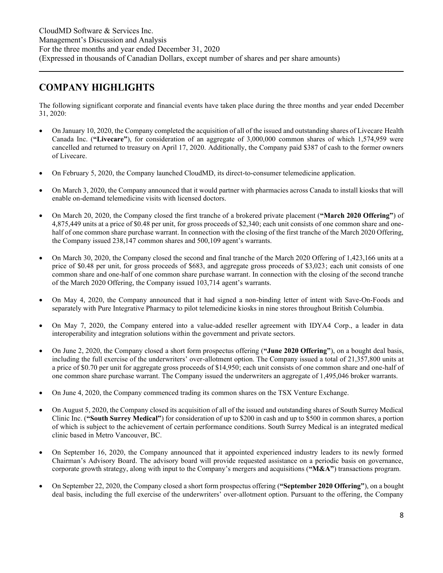### <span id="page-7-0"></span>**COMPANY HIGHLIGHTS**

The following significant corporate and financial events have taken place during the three months and year ended December 31, 2020:

- On January 10, 2020, the Company completed the acquisition of all of the issued and outstanding shares of Livecare Health Canada Inc. (**"Livecare"**), for consideration of an aggregate of 3,000,000 common shares of which 1,574,959 were cancelled and returned to treasury on April 17, 2020. Additionally, the Company paid \$387 of cash to the former owners of Livecare.
- On February 5, 2020, the Company launched CloudMD, its direct-to-consumer telemedicine application.
- On March 3, 2020, the Company announced that it would partner with pharmacies across Canada to install kiosks that will enable on-demand telemedicine visits with licensed doctors.
- On March 20, 2020, the Company closed the first tranche of a brokered private placement (**"March 2020 Offering"**) of 4,875,449 units at a price of \$0.48 per unit, for gross proceeds of \$2,340; each unit consists of one common share and onehalf of one common share purchase warrant. In connection with the closing of the first tranche of the March 2020 Offering, the Company issued 238,147 common shares and 500,109 agent's warrants.
- On March 30, 2020, the Company closed the second and final tranche of the March 2020 Offering of 1,423,166 units at a price of \$0.48 per unit, for gross proceeds of \$683, and aggregate gross proceeds of \$3,023; each unit consists of one common share and one-half of one common share purchase warrant. In connection with the closing of the second tranche of the March 2020 Offering, the Company issued 103,714 agent's warrants.
- On May 4, 2020, the Company announced that it had signed a non-binding letter of intent with Save-On-Foods and separately with Pure Integrative Pharmacy to pilot telemedicine kiosks in nine stores throughout British Columbia.
- On May 7, 2020, the Company entered into a value-added reseller agreement with IDYA4 Corp., a leader in data interoperability and integration solutions within the government and private sectors.
- On June 2, 2020, the Company closed a short form prospectus offering (**"June 2020 Offering"**), on a bought deal basis, including the full exercise of the underwriters' over-allotment option. The Company issued a total of 21,357,800 units at a price of \$0.70 per unit for aggregate gross proceeds of \$14,950; each unit consists of one common share and one-half of one common share purchase warrant. The Company issued the underwriters an aggregate of 1,495,046 broker warrants.
- On June 4, 2020, the Company commenced trading its common shares on the TSX Venture Exchange.
- On August 5, 2020, the Company closed its acquisition of all of the issued and outstanding shares of South Surrey Medical Clinic Inc. (**"South Surrey Medical"**) for consideration of up to \$200 in cash and up to \$500 in common shares, a portion of which is subject to the achievement of certain performance conditions. South Surrey Medical is an integrated medical clinic based in Metro Vancouver, BC.
- On September 16, 2020, the Company announced that it appointed experienced industry leaders to its newly formed Chairman's Advisory Board. The advisory board will provide requested assistance on a periodic basis on governance, corporate growth strategy, along with input to the Company's mergers and acquisitions (**"M&A"**) transactions program.
- On September 22, 2020, the Company closed a short form prospectus offering (**"September 2020 Offering"**), on a bought deal basis, including the full exercise of the underwriters' over-allotment option. Pursuant to the offering, the Company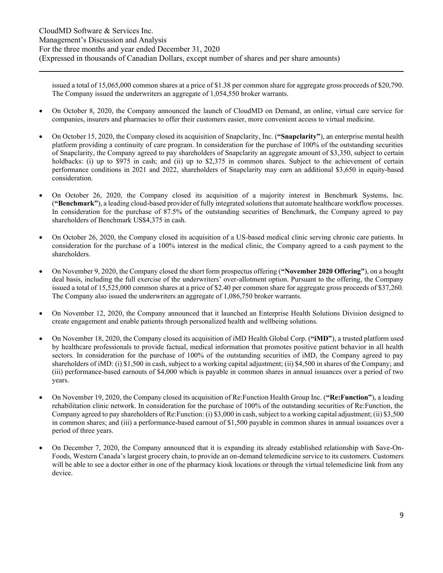issued a total of 15,065,000 common shares at a price of \$1.38 per common share for aggregate gross proceeds of \$20,790. The Company issued the underwriters an aggregate of 1,054,550 broker warrants.

- On October 8, 2020, the Company announced the launch of CloudMD on Demand, an online, virtual care service for companies, insurers and pharmacies to offer their customers easier, more convenient access to virtual medicine.
- On October 15, 2020, the Company closed its acquisition of Snapclarity, Inc. (**"Snapclarity"**), an enterprise mental health platform providing a continuity of care program. In consideration for the purchase of 100% of the outstanding securities of Snapclarity, the Company agreed to pay shareholders of Snapclarity an aggregate amount of \$3,350, subject to certain holdbacks: (i) up to \$975 in cash; and (ii) up to \$2,375 in common shares. Subject to the achievement of certain performance conditions in 2021 and 2022, shareholders of Snapclarity may earn an additional \$3,650 in equity-based consideration.
- On October 26, 2020, the Company closed its acquisition of a majority interest in Benchmark Systems, Inc. (**"Benchmark"**), a leading cloud-based provider of fully integrated solutions that automate healthcare workflow processes. In consideration for the purchase of 87.5% of the outstanding securities of Benchmark, the Company agreed to pay shareholders of Benchmark US\$4,375 in cash.
- On October 26, 2020, the Company closed its acquisition of a US-based medical clinic serving chronic care patients. In consideration for the purchase of a 100% interest in the medical clinic, the Company agreed to a cash payment to the shareholders.
- On November 9, 2020, the Company closed the short form prospectus offering (**"November 2020 Offering"**), on a bought deal basis, including the full exercise of the underwriters' over-allotment option. Pursuant to the offering, the Company issued a total of 15,525,000 common shares at a price of \$2.40 per common share for aggregate gross proceeds of \$37,260. The Company also issued the underwriters an aggregate of 1,086,750 broker warrants.
- On November 12, 2020, the Company announced that it launched an Enterprise Health Solutions Division designed to create engagement and enable patients through personalized health and wellbeing solutions.
- On November 18, 2020, the Company closed its acquisition of iMD Health Global Corp. (**"iMD"**), a trusted platform used by healthcare professionals to provide factual, medical information that promotes positive patient behavior in all health sectors. In consideration for the purchase of 100% of the outstanding securities of iMD, the Company agreed to pay shareholders of iMD: (i) \$1,500 in cash, subject to a working capital adjustment; (ii) \$4,500 in shares of the Company; and (iii) performance-based earnouts of \$4,000 which is payable in common shares in annual issuances over a period of two years.
- On November 19, 2020, the Company closed its acquisition of Re:Function Health Group Inc. (**"Re:Function"**), a leading rehabilitation clinic network. In consideration for the purchase of 100% of the outstanding securities of Re:Function, the Company agreed to pay shareholders of Re:Function: (i) \$3,000 in cash, subject to a working capital adjustment; (ii) \$3,500 in common shares; and (iii) a performance-based earnout of \$1,500 payable in common shares in annual issuances over a period of three years.
- On December 7, 2020, the Company announced that it is expanding its already established relationship with Save-On-Foods, Western Canada's largest grocery chain, to provide an on-demand telemedicine service to its customers. Customers will be able to see a doctor either in one of the pharmacy kiosk locations or through the virtual telemedicine link from any device.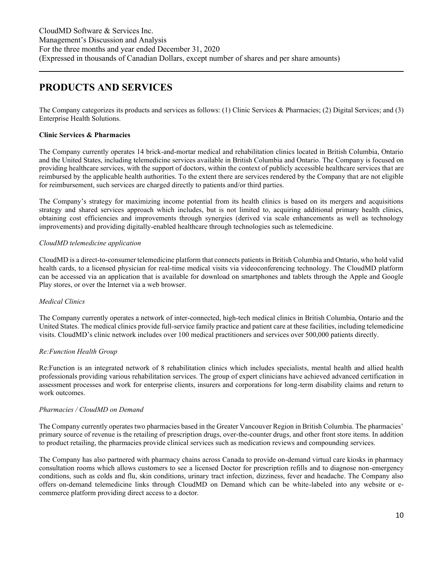### <span id="page-9-0"></span>**PRODUCTS AND SERVICES**

The Company categorizes its products and services as follows: (1) Clinic Services & Pharmacies; (2) Digital Services; and (3) Enterprise Health Solutions.

#### **Clinic Services & Pharmacies**

The Company currently operates 14 brick-and-mortar medical and rehabilitation clinics located in British Columbia, Ontario and the United States, including telemedicine services available in British Columbia and Ontario. The Company is focused on providing healthcare services, with the support of doctors, within the context of publicly accessible healthcare services that are reimbursed by the applicable health authorities. To the extent there are services rendered by the Company that are not eligible for reimbursement, such services are charged directly to patients and/or third parties.

The Company's strategy for maximizing income potential from its health clinics is based on its mergers and acquisitions strategy and shared services approach which includes, but is not limited to, acquiring additional primary health clinics, obtaining cost efficiencies and improvements through synergies (derived via scale enhancements as well as technology improvements) and providing digitally-enabled healthcare through technologies such as telemedicine.

#### *CloudMD telemedicine application*

CloudMD is a direct-to-consumer telemedicine platform that connects patients in British Columbia and Ontario, who hold valid health cards, to a licensed physician for real-time medical visits via videoconferencing technology. The CloudMD platform can be accessed via an application that is available for download on smartphones and tablets through the Apple and Google Play stores, or over the Internet via a web browser.

#### *Medical Clinics*

The Company currently operates a network of inter-connected, high-tech medical clinics in British Columbia, Ontario and the United States. The medical clinics provide full-service family practice and patient care at these facilities, including telemedicine visits. CloudMD's clinic network includes over 100 medical practitioners and services over 500,000 patients directly.

#### *Re:Function Health Group*

Re:Function is an integrated network of 8 rehabilitation clinics which includes specialists, mental health and allied health professionals providing various rehabilitation services. The group of expert clinicians have achieved advanced certification in assessment processes and work for enterprise clients, insurers and corporations for long-term disability claims and return to work outcomes.

#### *Pharmacies / CloudMD on Demand*

The Company currently operates two pharmacies based in the Greater Vancouver Region in British Columbia. The pharmacies' primary source of revenue is the retailing of prescription drugs, over-the-counter drugs, and other front store items. In addition to product retailing, the pharmacies provide clinical services such as medication reviews and compounding services.

The Company has also partnered with pharmacy chains across Canada to provide on-demand virtual care kiosks in pharmacy consultation rooms which allows customers to see a licensed Doctor for prescription refills and to diagnose non-emergency conditions, such as colds and flu, skin conditions, urinary tract infection, dizziness, fever and headache. The Company also offers on-demand telemedicine links through CloudMD on Demand which can be white-labeled into any website or ecommerce platform providing direct access to a doctor.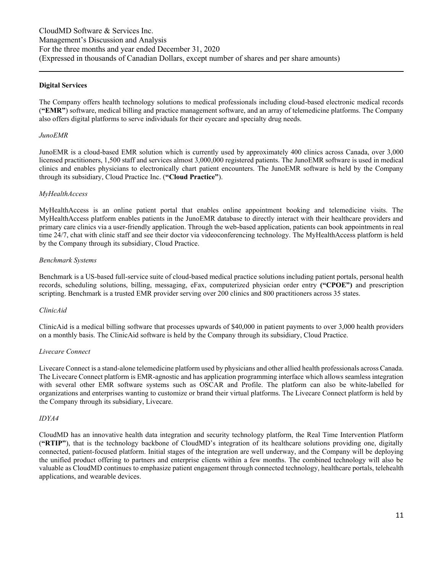#### **Digital Services**

The Company offers health technology solutions to medical professionals including cloud-based electronic medical records (**"EMR"**) software, medical billing and practice management software, and an array of telemedicine platforms. The Company also offers digital platforms to serve individuals for their eyecare and specialty drug needs.

#### *JunoEMR*

JunoEMR is a cloud-based EMR solution which is currently used by approximately 400 clinics across Canada, over 3,000 licensed practitioners, 1,500 staff and services almost 3,000,000 registered patients. The JunoEMR software is used in medical clinics and enables physicians to electronically chart patient encounters. The JunoEMR software is held by the Company through its subsidiary, Cloud Practice Inc. (**"Cloud Practice"**).

#### *MyHealthAccess*

MyHealthAccess is an online patient portal that enables online appointment booking and telemedicine visits. The MyHealthAccess platform enables patients in the JunoEMR database to directly interact with their healthcare providers and primary care clinics via a user-friendly application. Through the web-based application, patients can book appointments in real time 24/7, chat with clinic staff and see their doctor via videoconferencing technology. The MyHealthAccess platform is held by the Company through its subsidiary, Cloud Practice.

#### *Benchmark Systems*

Benchmark is a US-based full-service suite of cloud-based medical practice solutions including patient portals, personal health records, scheduling solutions, billing, messaging, eFax, computerized physician order entry **("CPOE")** and prescription scripting. Benchmark is a trusted EMR provider serving over 200 clinics and 800 practitioners across 35 states.

#### *ClinicAid*

ClinicAid is a medical billing software that processes upwards of \$40,000 in patient payments to over 3,000 health providers on a monthly basis. The ClinicAid software is held by the Company through its subsidiary, Cloud Practice.

#### *Livecare Connect*

Livecare Connect is a stand-alone telemedicine platform used by physicians and other allied health professionals across Canada. The Livecare Connect platform is EMR-agnostic and has application programming interface which allows seamless integration with several other EMR software systems such as OSCAR and Profile. The platform can also be white-labelled for organizations and enterprises wanting to customize or brand their virtual platforms. The Livecare Connect platform is held by the Company through its subsidiary, Livecare.

#### *IDYA4*

CloudMD has an innovative health data integration and security technology platform, the Real Time Intervention Platform (**"RTIP"**), that is the technology backbone of CloudMD's integration of its healthcare solutions providing one, digitally connected, patient-focused platform. Initial stages of the integration are well underway, and the Company will be deploying the unified product offering to partners and enterprise clients within a few months. The combined technology will also be valuable as CloudMD continues to emphasize patient engagement through connected technology, healthcare portals, telehealth applications, and wearable devices.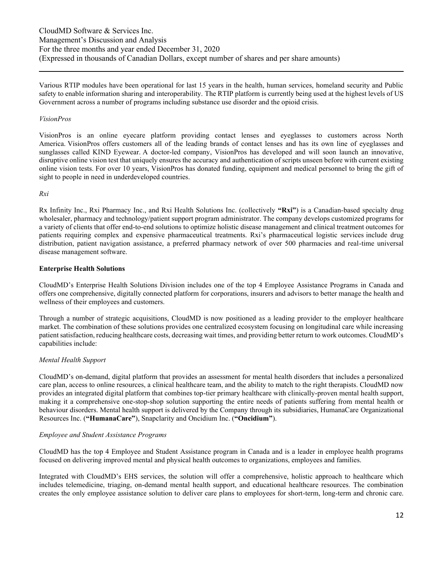Various RTIP modules have been operational for last 15 years in the health, human services, homeland security and Public safety to enable information sharing and interoperability. The RTIP platform is currently being used at the highest levels of US Government across a number of programs including substance use disorder and the opioid crisis.

#### *VisionPros*

VisionPros is an online eyecare platform providing contact lenses and eyeglasses to customers across North America. VisionPros offers customers all of the leading brands of contact lenses and has its own line of eyeglasses and sunglasses called KIND Eyewear. A doctor-led company, VisionPros has developed and will soon launch an innovative, disruptive online vision test that uniquely ensures the accuracy and authentication of scripts unseen before with current existing online vision tests. For over 10 years, VisionPros has donated funding, equipment and medical personnel to bring the gift of sight to people in need in underdeveloped countries.

#### *Rxi*

Rx Infinity Inc., Rxi Pharmacy Inc., and Rxi Health Solutions Inc. (collectively **"Rxi"**) is a Canadian-based specialty drug wholesaler, pharmacy and technology/patient support program administrator. The company develops customized programs for a variety of clients that offer end-to-end solutions to optimize holistic disease management and clinical treatment outcomes for patients requiring complex and expensive pharmaceutical treatments. Rxi's pharmaceutical logistic services include drug distribution, patient navigation assistance, a preferred pharmacy network of over 500 pharmacies and real-time universal disease management software.

#### **Enterprise Health Solutions**

CloudMD's Enterprise Health Solutions Division includes one of the top 4 Employee Assistance Programs in Canada and offers one comprehensive, digitally connected platform for corporations, insurers and advisors to better manage the health and wellness of their employees and customers.

Through a number of strategic acquisitions, CloudMD is now positioned as a leading provider to the employer healthcare market. The combination of these solutions provides one centralized ecosystem focusing on longitudinal care while increasing patient satisfaction, reducing healthcare costs, decreasing wait times, and providing better return to work outcomes. CloudMD's capabilities include:

#### *Mental Health Support*

CloudMD's on-demand, digital platform that provides an assessment for mental health disorders that includes a personalized care plan, access to online resources, a clinical healthcare team, and the ability to match to the right therapists. CloudMD now provides an integrated digital platform that combines top-tier primary healthcare with clinically-proven mental health support, making it a comprehensive one-stop-shop solution supporting the entire needs of patients suffering from mental health or behaviour disorders. Mental health support is delivered by the Company through its subsidiaries, HumanaCare Organizational Resources Inc. (**"HumanaCare"**), Snapclarity and Oncidium Inc. (**"Oncidium"**).

#### *Employee and Student Assistance Programs*

CloudMD has the top 4 Employee and Student Assistance program in Canada and is a leader in employee health programs focused on delivering improved mental and physical health outcomes to organizations, employees and families.

Integrated with CloudMD's EHS services, the solution will offer a comprehensive, holistic approach to healthcare which includes telemedicine, triaging, on-demand mental health support, and educational healthcare resources. The combination creates the only employee assistance solution to deliver care plans to employees for short-term, long-term and chronic care.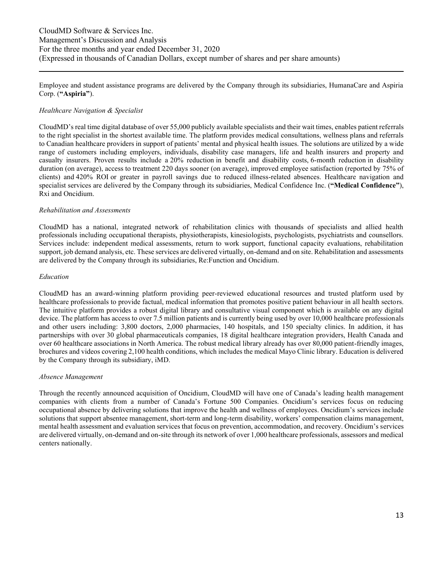Employee and student assistance programs are delivered by the Company through its subsidiaries, HumanaCare and Aspiria Corp. (**"Aspiria"**).

#### *Healthcare Navigation & Specialist*

CloudMD's real time digital database of over 55,000 publicly available specialists and their wait times, enables patient referrals to the right specialist in the shortest available time. The platform provides medical consultations, wellness plans and referrals to Canadian healthcare providers in support of patients' mental and physical health issues. The solutions are utilized by a wide range of customers including employers, individuals, disability case managers, life and health insurers and property and casualty insurers. Proven results include a 20% reduction in benefit and disability costs, 6-month reduction in disability duration (on average), access to treatment 220 days sooner (on average), improved employee satisfaction (reported by 75% of clients) and 420% ROI or greater in payroll savings due to reduced illness-related absences. Healthcare navigation and specialist services are delivered by the Company through its subsidiaries, Medical Confidence Inc. (**"Medical Confidence"**), Rxi and Oncidium.

#### *Rehabilitation and Assessments*

CloudMD has a national, integrated network of rehabilitation clinics with thousands of specialists and allied health professionals including occupational therapists, physiotherapists, kinesiologists, psychologists, psychiatrists and counsellors. Services include: independent medical assessments, return to work support, functional capacity evaluations, rehabilitation support, job demand analysis, etc. These services are delivered virtually, on-demand and on site. Rehabilitation and assessments are delivered by the Company through its subsidiaries, Re:Function and Oncidium.

#### *Education*

CloudMD has an award-winning platform providing peer-reviewed educational resources and trusted platform used by healthcare professionals to provide factual, medical information that promotes positive patient behaviour in all health sectors. The intuitive platform provides a robust digital library and consultative visual component which is available on any digital device. The platform has access to over 7.5 million patients and is currently being used by over 10,000 healthcare professionals and other users including: 3,800 doctors, 2,000 pharmacies, 140 hospitals, and 150 specialty clinics. In addition, it has partnerships with over 30 global pharmaceuticals companies, 18 digital healthcare integration providers, Health Canada and over 60 healthcare associations in North America. The robust medical library already has over 80,000 patient-friendly images, brochures and videos covering 2,100 health conditions, which includes the medical Mayo Clinic library. Education is delivered by the Company through its subsidiary, iMD.

#### *Absence Management*

Through the recently announced acquisition of Oncidium, CloudMD will have one of Canada's leading health management companies with clients from a number of Canada's Fortune 500 Companies. Oncidium's services focus on reducing occupational absence by delivering solutions that improve the health and wellness of employees. Oncidium's services include solutions that support absentee management, short-term and long-term disability, workers' compensation claims management, mental health assessment and evaluation services that focus on prevention, accommodation, and recovery. Oncidium's services are delivered virtually, on-demand and on-site through its network of over 1,000 healthcare professionals, assessors and medical centers nationally.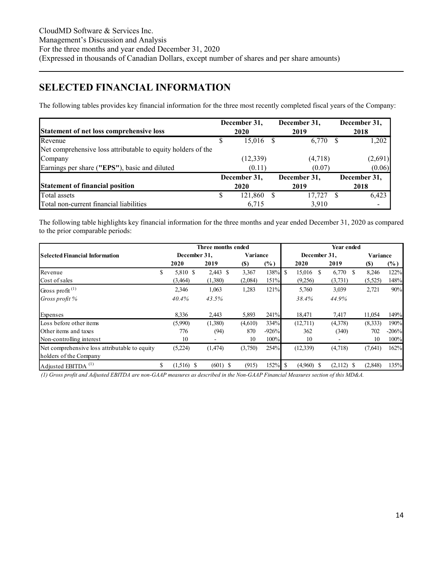# <span id="page-13-0"></span>**SELECTED FINANCIAL INFORMATION**

The following tables provides key financial information for the three most recently completed fiscal years of the Company:

| Statement of net loss comprehensive loss                     |   | December 31,<br><b>2020</b> |     | December 31,<br>2019 | December 31,<br>2018 |
|--------------------------------------------------------------|---|-----------------------------|-----|----------------------|----------------------|
| Revenue                                                      |   | 15,016                      | - S | 6,770                | 1,202                |
| Net comprehensive loss attributable to equity holders of the |   |                             |     |                      |                      |
| Company                                                      |   | (12, 339)                   |     | (4,718)              | (2,691)              |
| Earnings per share ("EPS"), basic and diluted                |   | (0.11)                      |     | (0.07)               | (0.06)               |
|                                                              |   | December 31,                |     | December 31,         | December 31,         |
| <b>Statement of financial position</b>                       |   | 2020                        |     | 2019                 | 2018                 |
| Total assets                                                 | S | 121,860                     |     | 17.727               | 6,423                |
| Total non-current financial liabilities                      |   | 6,715                       |     | 3.910                |                      |

The following table highlights key financial information for the three months and year ended December 31, 2020 as compared to the prior comparable periods:

|                                                                         |                    | Three months ended       |            |            | Year ended |              |               |               |  |          |         |  |
|-------------------------------------------------------------------------|--------------------|--------------------------|------------|------------|------------|--------------|---------------|---------------|--|----------|---------|--|
| <b>Selected Financial Information</b>                                   | December 31,       |                          | Variance   |            |            | December 31, |               |               |  | Variance |         |  |
|                                                                         | 2020               | 2019                     | <b>(S)</b> | $(\%)$     |            | 2020         |               | 2019          |  | (S)      | $(\%)$  |  |
| Revenue                                                                 | \$<br>5,810 \$     | $2,443$ \$               | 3,367      | $138%$ \$  |            | 15,016       | <sup>\$</sup> | 6,770<br>- \$ |  | 8,246    | 122%    |  |
| Cost of sales                                                           | (3,464)            | (1,380)                  | (2,084)    | 151%       |            | (9,256)      |               | (3,731)       |  | (5,525)  | 148%    |  |
| Gross profit <sup>(1)</sup>                                             | 2,346              | 1,063                    | 1,283      | 121%       |            | 5,760        |               | 3,039         |  | 2,721    | 90%     |  |
| Gross profit %                                                          | 40.4%              | 43.5%                    |            |            |            | 38.4%        |               | 44.9%         |  |          |         |  |
| Expenses                                                                | 8,336              | 2,443                    | 5,893      | 241%       |            | 18,471       |               | 7,417         |  | 11,054   | 149%    |  |
| Loss before other items                                                 | (5,990)            | (1,380)                  | (4,610)    | 334%       |            | (12,711)     |               | (4,378)       |  | (8,333)  | 190%    |  |
| Other items and taxes                                                   | 776                | (94)                     | 870        | $-926%$    |            | 362          |               | (340)         |  | 702      | $-206%$ |  |
| Non-controlling interest                                                | 10                 | $\overline{\phantom{0}}$ | 10         | 100%       |            | 10           |               | ٠             |  | 10       | 100%    |  |
| Net comprehensive loss attributable to equity<br>holders of the Company | (5,224)            | (1, 474)                 | (3,750)    | 254%       |            | (12,339)     |               | (4,718)       |  | (7,641)  | 162%    |  |
| Adjusted EBITDA <sup>(1)</sup>                                          | \$<br>$(1,516)$ \$ | $(601)$ \$               | (915)      | $152\%$ \$ |            | $(4,960)$ \$ |               | $(2,112)$ \$  |  | (2,848)  | 135%    |  |

*(1) Gross profit and Adjusted EBITDA are non-GAAP measures as described in the Non-GAAP Financial Measures section of this MD&A.*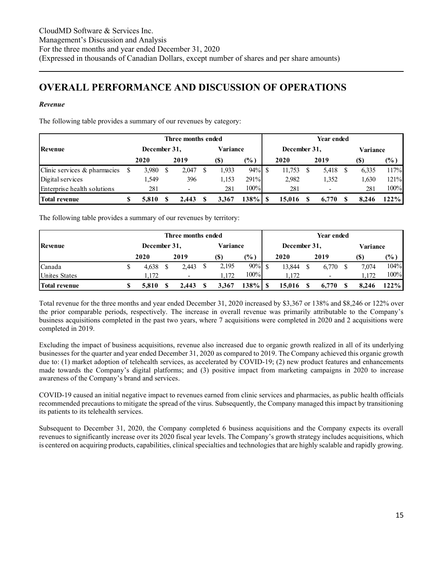### <span id="page-14-0"></span>**OVERALL PERFORMANCE AND DISCUSSION OF OPERATIONS**

#### *Revenue*

The following table provides a summary of our revenues by category:

|                              |   |              | Three months ended |          |                |  |              | Year ended |       |  |          |        |  |
|------------------------------|---|--------------|--------------------|----------|----------------|--|--------------|------------|-------|--|----------|--------|--|
| <b>Revenue</b>               |   | December 31, |                    | Variance |                |  | December 31, |            |       |  | Variance |        |  |
|                              |   | 2020         | 2019               | (S)      | $\frac{10}{6}$ |  | 2020         |            | 2019  |  | (\$)     | $(\%)$ |  |
| Clinic services & pharmacies |   | 3,980        | 2,047              | 1,933    | 94%            |  | 11,753       |            | 5,418 |  | 6,335    | 117%   |  |
| Digital services             |   | 1.549        | 396                | 1,153    | 291%           |  | 2,982        |            | 1,352 |  | 1,630    | 121%   |  |
| Enterprise health solutions  |   | 281          | -                  | 281      | 100%           |  | 281          |            |       |  | 281      | 100%   |  |
| <b>Total revenue</b>         | S | 5.810        | 2.443              | 3.367    | $138\%$        |  | 15.016       |            | 6,770 |  | 8.246    | 122%   |  |

The following table provides a summary of our revenues by territory:

|                      |   |              | Three months ended |          |                | Year ended |              |  |                          |          |       |         |  |  |
|----------------------|---|--------------|--------------------|----------|----------------|------------|--------------|--|--------------------------|----------|-------|---------|--|--|
| Revenue              |   | December 31, |                    | Variance |                |            | December 31, |  |                          | Variance |       |         |  |  |
|                      |   | 2020         | 2019               | (S)      | $\frac{10}{6}$ |            | 2020         |  | 2019                     |          | (S)   | $(\% )$ |  |  |
| Canada               | J | 4,638        | 2,443              | 2,195    | $90\%$         |            | 13,844       |  | 6.770                    |          | 7.074 | 104%    |  |  |
| <b>Unites States</b> |   | 1.172        | -                  | 1.172    | 100%           |            | 1.172        |  | $\overline{\phantom{0}}$ |          | .172  | 100%    |  |  |
| Total revenue        | S | 5.810        | 2.443              | 3.367    | 138% I         |            | 15.016       |  | 6.770                    |          | 8.246 | 122%    |  |  |

Total revenue for the three months and year ended December 31, 2020 increased by \$3,367 or 138% and \$8,246 or 122% over the prior comparable periods, respectively. The increase in overall revenue was primarily attributable to the Company's business acquisitions completed in the past two years, where 7 acquisitions were completed in 2020 and 2 acquisitions were completed in 2019.

Excluding the impact of business acquisitions, revenue also increased due to organic growth realized in all of its underlying businesses for the quarter and year ended December 31, 2020 as compared to 2019. The Company achieved this organic growth due to: (1) market adoption of telehealth services, as accelerated by COVID-19; (2) new product features and enhancements made towards the Company's digital platforms; and (3) positive impact from marketing campaigns in 2020 to increase awareness of the Company's brand and services.

COVID-19 caused an initial negative impact to revenues earned from clinic services and pharmacies, as public health officials recommended precautions to mitigate the spread of the virus. Subsequently, the Company managed this impact by transitioning its patients to its telehealth services.

Subsequent to December 31, 2020, the Company completed 6 business acquisitions and the Company expects its overall revenues to significantly increase over its 2020 fiscal year levels. The Company's growth strategy includes acquisitions, which is centered on acquiring products, capabilities, clinical specialties and technologies that are highly scalable and rapidly growing.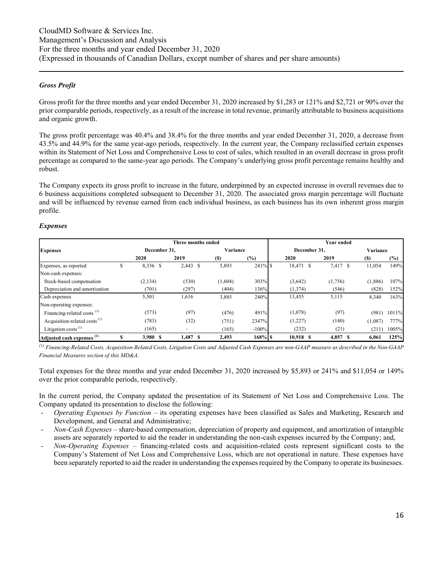#### *Gross Profit*

Gross profit for the three months and year ended December 31, 2020 increased by \$1,283 or 121% and \$2,721 or 90% over the prior comparable periods, respectively, as a result of the increase in total revenue, primarily attributable to business acquisitions and organic growth.

The gross profit percentage was 40.4% and 38.4% for the three months and year ended December 31, 2020, a decrease from 43.5% and 44.9% for the same year-ago periods, respectively. In the current year, the Company reclassified certain expenses within its Statement of Net Loss and Comprehensive Loss to cost of sales, which resulted in an overall decrease in gross profit percentage as compared to the same-year ago periods. The Company's underlying gross profit percentage remains healthy and robust.

The Company expects its gross profit to increase in the future, underpinned by an expected increase in overall revenues due to 6 business acquisitions completed subsequent to December 31, 2020. The associated gross margin percentage will fluctuate and will be influenced by revenue earned from each individual business, as each business has its own inherent gross margin profile.

#### *Expenses*

|                                          |              | Three months ended       |          |            | Year ended   |          |          |        |  |  |  |  |  |
|------------------------------------------|--------------|--------------------------|----------|------------|--------------|----------|----------|--------|--|--|--|--|--|
| <b>Expenses</b>                          | December 31. |                          | Variance |            | December 31. |          | Variance |        |  |  |  |  |  |
|                                          | 2020         | 2019                     | $(s)$    | $(\%)$     | 2020         | 2019     | (S)      | $(\%)$ |  |  |  |  |  |
| Expenses, as reported                    | 8,336 \$     | $2,443$ \$               | 5,893    | $241\%$ \$ | 18,471 \$    | 7,417 \$ | 11,054   | 149%   |  |  |  |  |  |
| Non-cash expenses:                       |              |                          |          |            |              |          |          |        |  |  |  |  |  |
| Stock-based compensation                 | (2, 134)     | (530)                    | (1,604)  | 303%       | (3,642)      | (1,756)  | (1,886)  | 107%   |  |  |  |  |  |
| Depreciation and amortization            | (701)        | (297)                    | (404)    | 136%       | (1,374)      | (546)    | (828)    | 152%   |  |  |  |  |  |
| Cash expenses                            | 5,501        | 1,616                    | 3,885    | 240%       | 13,455       | 5,115    | 8,340    | 163%   |  |  |  |  |  |
| Non-operating expenses:                  |              |                          |          |            |              |          |          |        |  |  |  |  |  |
| Financing-related costs <sup>(1)</sup>   | (573)        | (97)                     | (476)    | 491%       | (1,078)      | (97)     | (981)    | 1011%  |  |  |  |  |  |
| Acquisition-related costs <sup>(1)</sup> | (783)        | (32)                     | (751)    | 2347%      | (1,227)      | (140)    | (1,087)  | 777%   |  |  |  |  |  |
| Litigation costs <sup>(1)</sup>          | (165)        | $\overline{\phantom{a}}$ | (165)    | $-100%$    | (232)        | (21)     | (211)    | 1005%  |  |  |  |  |  |
| Adjusted cash expenses <sup>(1)</sup>    | 3,980 \$     | 1,487 \$                 | 2,493    | $168%$ \$  | 10,918 \$    | 4,857 \$ | 6,061    | 125%   |  |  |  |  |  |

*(1) Financing-Related Costs, Acquisition-Related Costs, Litigation Costs and Adjusted Cash Expenses are non-GAAP measure as described in the Non-GAAP Financial Measures section of this MD&A.* 

Total expenses for the three months and year ended December 31, 2020 increased by \$5,893 or 241% and \$11,054 or 149% over the prior comparable periods, respectively.

In the current period, the Company updated the presentation of its Statement of Net Loss and Comprehensive Loss. The Company updated its presentation to disclose the following:

- *Operating Expenses by Function* its operating expenses have been classified as Sales and Marketing, Research and Development, and General and Administrative;
- *Non-Cash Expenses* share-based compensation, depreciation of property and equipment, and amortization of intangible assets are separately reported to aid the reader in understanding the non-cash expenses incurred by the Company; and,
- *Non-Operating Expenses* financing-related costs and acquisition-related costs represent significant costs to the Company's Statement of Net Loss and Comprehensive Loss, which are not operational in nature. These expenses have been separately reported to aid the reader in understanding the expenses required by the Company to operate its businesses.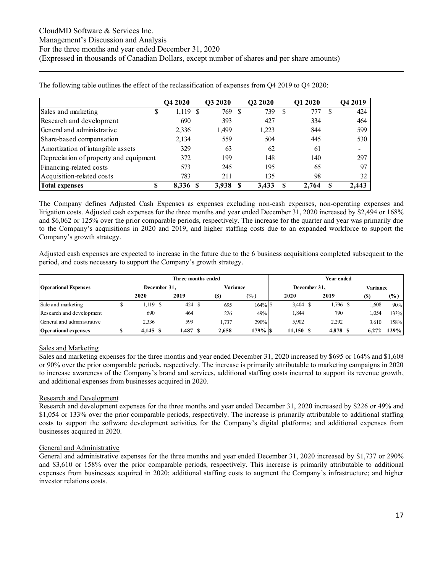|                                        | <b>O4 2020</b> |     | O3 2020 |   | Q2 2020 |   | Q1 2020 |     | Q4 2019                  |
|----------------------------------------|----------------|-----|---------|---|---------|---|---------|-----|--------------------------|
| Sales and marketing<br>\$              | $1,119$ \$     |     | 769     | S | 739     | S | 777     | \$. | 424                      |
| Research and development               | 690            |     | 393     |   | 427     |   | 334     |     | 464                      |
| General and administrative             | 2,336          |     | 1,499   |   | 1.223   |   | 844     |     | 599                      |
| Share-based compensation               | 2,134          |     | 559     |   | 504     |   | 445     |     | 530                      |
| Amortization of intangible assets      | 329            |     | 63      |   | 62      |   | 61      |     | $\overline{\phantom{a}}$ |
| Depreciation of property and equipment | 372            |     | 199     |   | 148     |   | 140     |     | 297                      |
| Financing-related costs                | 573            |     | 245     |   | 195     |   | 65      |     | 97                       |
| Acquisition-related costs              | 783            |     | 211     |   | 135     |   | 98      |     | 32                       |
| <b>Total expenses</b>                  | 8.336          | - 8 | 3.938   |   | 3.433   |   | 2.764   | \$  | 2,443                    |

The following table outlines the effect of the reclassification of expenses from Q4 2019 to Q4 2020:

The Company defines Adjusted Cash Expenses as expenses excluding non-cash expenses, non-operating expenses and litigation costs. Adjusted cash expenses for the three months and year ended December 31, 2020 increased by \$2,494 or 168% and \$6,062 or 125% over the prior comparable periods, respectively. The increase for the quarter and year was primarily due to the Company's acquisitions in 2020 and 2019, and higher staffing costs due to an expanded workforce to support the Company's growth strategy.

Adjusted cash expenses are expected to increase in the future due to the 6 business acquisitions completed subsequent to the period, and costs necessary to support the Company's growth strategy.

|                             |              | Three months ended |          | Year ended |              |            |  |          |          |       |               |  |
|-----------------------------|--------------|--------------------|----------|------------|--------------|------------|--|----------|----------|-------|---------------|--|
| <b>Operational Expenses</b> | December 31. |                    | Variance |            | December 31. |            |  |          | Variance |       |               |  |
|                             | 2020         | 2019               | (S)      | $(\%)$     |              | 2020       |  | 2019     |          |       | $\frac{6}{2}$ |  |
| Sale and marketing          | 1,119 \$     | 424 \$             | 695      | 164% S     |              | $3,404$ \$ |  | .796 \$  |          | 1.608 | 90%           |  |
| Research and development    | 690          | 464                | 226      | 49%        |              | 1,844      |  | 790      |          | 1,054 | 133%          |  |
| General and administrative  | 2,336        | 599                | .737     | 290%       |              | 5.902      |  | 2.292    |          | 3.610 | 158%          |  |
| <b>Operational expenses</b> | 4.145 S      | 1,487 \$           | 2.658    | 179% IS    |              | 11.150 \$  |  | 4,878 \$ |          | 6.272 | 129%          |  |

#### Sales and Marketing

Sales and marketing expenses for the three months and year ended December 31, 2020 increased by \$695 or 164% and \$1,608 or 90% over the prior comparable periods, respectively. The increase is primarily attributable to marketing campaigns in 2020 to increase awareness of the Company's brand and services, additional staffing costs incurred to support its revenue growth, and additional expenses from businesses acquired in 2020.

#### Research and Development

Research and development expenses for the three months and year ended December 31, 2020 increased by \$226 or 49% and \$1,054 or 133% over the prior comparable periods, respectively. The increase is primarily attributable to additional staffing costs to support the software development activities for the Company's digital platforms; and additional expenses from businesses acquired in 2020.

#### General and Administrative

General and administrative expenses for the three months and year ended December 31, 2020 increased by \$1,737 or 290% and \$3,610 or 158% over the prior comparable periods, respectively. This increase is primarily attributable to additional expenses from businesses acquired in 2020; additional staffing costs to augment the Company's infrastructure; and higher investor relations costs.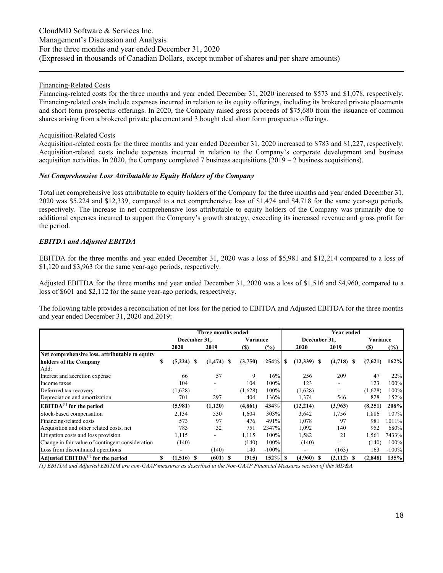#### Financing-Related Costs

Financing-related costs for the three months and year ended December 31, 2020 increased to \$573 and \$1,078, respectively. Financing-related costs include expenses incurred in relation to its equity offerings, including its brokered private placements and short form prospectus offerings. In 2020, the Company raised gross proceeds of \$75,680 from the issuance of common shares arising from a brokered private placement and 3 bought deal short form prospectus offerings.

#### Acquisition-Related Costs

Acquisition-related costs for the three months and year ended December 31, 2020 increased to \$783 and \$1,227, respectively. Acquisition-related costs include expenses incurred in relation to the Company's corporate development and business acquisition activities. In 2020, the Company completed 7 business acquisitions (2019 – 2 business acquisitions).

#### *Net Comprehensive Loss Attributable to Equity Holders of the Company*

Total net comprehensive loss attributable to equity holders of the Company for the three months and year ended December 31, 2020 was \$5,224 and \$12,339, compared to a net comprehensive loss of \$1,474 and \$4,718 for the same year-ago periods, respectively. The increase in net comprehensive loss attributable to equity holders of the Company was primarily due to additional expenses incurred to support the Company's growth strategy, exceeding its increased revenue and gross profit for the period.

#### *EBITDA and Adjusted EBITDA*

EBITDA for the three months and year ended December 31, 2020 was a loss of \$5,981 and \$12,214 compared to a loss of \$1,120 and \$3,963 for the same year-ago periods, respectively.

Adjusted EBITDA for the three months and year ended December 31, 2020 was a loss of \$1,516 and \$4,960, compared to a loss of \$601 and \$2,112 for the same year-ago periods, respectively.

The following table provides a reconciliation of net loss for the period to EBITDA and Adjusted EBITDA for the three months and year ended December 31, 2020 and 2019:

|                                                  |    |              | Three months ended |            |          |            |               |    | Year ended               |            |          |
|--------------------------------------------------|----|--------------|--------------------|------------|----------|------------|---------------|----|--------------------------|------------|----------|
|                                                  |    | December 31, |                    |            | Variance |            | December 31,  |    |                          |            | Variance |
|                                                  |    | 2020         | 2019               | <b>(S)</b> | $(\%)$   |            | 2020          |    | 2019                     | <b>(S)</b> | $(\% )$  |
| Net comprehensive loss, attributable to equity   |    |              |                    |            |          |            |               |    |                          |            |          |
| holders of the Company                           | S  | $(5,224)$ \$ | $(1, 474)$ \$      | (3,750)    |          |            | $(12,339)$ \$ |    | $(4,718)$ \$             | (7,621)    | 162%     |
| Add:                                             |    |              |                    |            |          |            |               |    |                          |            |          |
| Interest and accretion expense                   |    | 66           | 57                 |            | 9        | 16%        | 256           |    | 209                      | 47         | 22%      |
| Income taxes                                     |    | 104          |                    | 104        |          | 100%       | 123           |    | $\overline{\phantom{a}}$ | 123        | 100%     |
| Deferrred tax recovery                           |    | (1,628)      |                    | (1,628)    |          | 100%       | (1,628)       |    | ۰                        | (1,628)    | 100%     |
| Depreciation and amortization                    |    | 701          | 297                | 404        |          | 136%       | 1,374         |    | 546                      | 828        | 152%     |
| $EBITDA(1)$ for the period                       |    | (5,981)      | (1,120)            | (4, 861)   |          | 434%       | (12, 214)     |    | (3,963)                  | (8,251)    | 208%     |
| Stock-based compensation                         |    | 2,134        | 530                | 1,604      |          | 303%       | 3,642         |    | 1,756                    | 1,886      | 107%     |
| Financing-related costs                          |    | 573          | 97                 | 476        |          | 491%       | 1,078         |    | 97                       | 981        | 1011%    |
| Acquisition and other related costs, net         |    | 783          | 32                 | 751        | 2347%    |            | 1,092         |    | 140                      | 952        | 680%     |
| Litigation costs and loss provision              |    | 1,115        |                    | 1,115      |          | 100%       | 1,582         |    | 21                       | 1,561      | 7433%    |
| Change in fair value of contingent consideration |    | (140)        |                    | (140)      |          | 100%       | (140)         |    |                          | (140)      | 100%     |
| Loss from discontinued operations                |    |              | (140)              | 140        | $-100%$  |            | ۰             |    | (163)                    | 163        | $-100%$  |
| Adjusted $EBITDA(1)$ for the period              | \$ | $(1,516)$ \$ | (601)<br>-S        | (915)      |          | $152\%$ \$ | (4,960)       | -8 | (2,112)                  | (2,848)    | 135%     |

*(1) EBITDA and Adjusted EBITDA are non-GAAP measures as described in the Non-GAAP Financial Measures section of this MD&A.*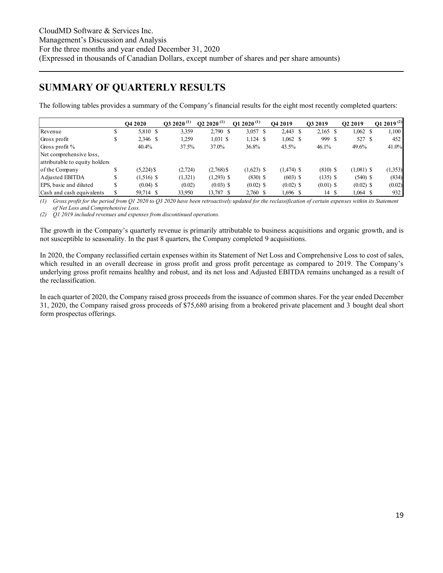### <span id="page-18-0"></span>**SUMMARY OF QUARTERLY RESULTS**

The following tables provides a summary of the Company's financial results for the eight most recently completed quarters:

|                                |    | <b>O4 2020</b> | $Q3\ 2020^{(1)}$ | Q2 2020 <sup>(1)</sup> | Q1 2020 <sup>(1)</sup> | O <sub>4</sub> 2019 | O3 2019     | O <sub>2</sub> 2019 | O1 2019 $(2)$ |
|--------------------------------|----|----------------|------------------|------------------------|------------------------|---------------------|-------------|---------------------|---------------|
| Revenue                        |    | 5,810 \$       | 3,359            | $2,790$ \$             | $3,057$ \$             | $2,443$ \$          | $2,165$ \$  | $1,062 \quad$ \$    | 1,100         |
| Gross profit                   |    | 2,346 \$       | 1,259            | $1,031$ \$             | $1,124$ \$             | $1,062 \quad$ \$    | 999 \$      | 527 \$              | 452           |
| Gross profit %                 |    | 40.4%          | 37.5%            | 37.0%                  | 36.8%                  | 43.5%               | 46.1%       | 49.6%               | 41.0%         |
| Net comprehensive loss,        |    |                |                  |                        |                        |                     |             |                     |               |
| attributable to equity holders |    |                |                  |                        |                        |                     |             |                     |               |
| of the Company                 | S  | $(5,224)$ \$   | (2, 724)         | $(2,768)$ \$           | $(1,623)$ \$           | $(1,474)$ \$        | $(810)$ \$  | $(1,081)$ \$        | (1,353)       |
| Adjusted EBITDA                | \$ | $(1,516)$ \$   | (1,321)          | $(1,293)$ \$           | $(830)$ \$             | $(603)$ \$          | $(135)$ \$  | $(540)$ \$          | (834)         |
| EPS, basic and diluted         |    | $(0.04)$ \$    | (0.02)           | $(0.03)$ \$            | $(0.02)$ \$            | $(0.02)$ \$         | $(0.01)$ \$ | $(0.02)$ \$         | (0.02)        |
| Cash and cash equivalents      |    | 59,714 \$      | 33,950           | 13,787 \$              | $2,760$ \$             | $1,696$ \$          | 14 S        | $1,064$ \$          | 932           |

*(1) Gross profit for the period from Q1 2020 to Q3 2020 have been retroactively updated for the reclassification of certain expenses within its Statement of Net Loss and Comprehensive Loss.* 

*(2) Q1 2019 included revenues and expenses from discontinued operations.* 

The growth in the Company's quarterly revenue is primarily attributable to business acquisitions and organic growth, and is not susceptible to seasonality. In the past 8 quarters, the Company completed 9 acquisitions.

In 2020, the Company reclassified certain expenses within its Statement of Net Loss and Comprehensive Loss to cost of sales, which resulted in an overall decrease in gross profit and gross profit percentage as compared to 2019. The Company's underlying gross profit remains healthy and robust, and its net loss and Adjusted EBITDA remains unchanged as a result of the reclassification.

In each quarter of 2020, the Company raised gross proceeds from the issuance of common shares. For the year ended December 31, 2020, the Company raised gross proceeds of \$75,680 arising from a brokered private placement and 3 bought deal short form prospectus offerings.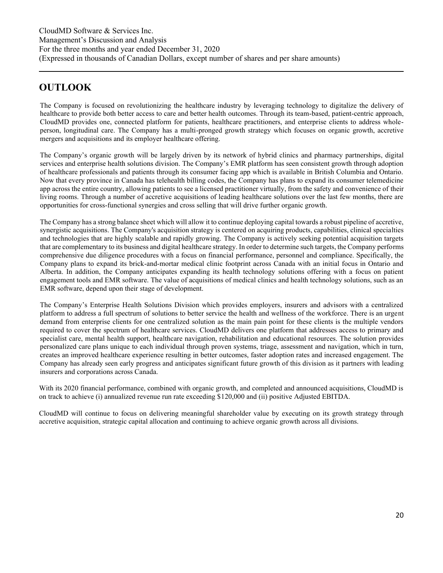# <span id="page-19-0"></span>**OUTLOOK**

The Company is focused on revolutionizing the healthcare industry by leveraging technology to digitalize the delivery of healthcare to provide both better access to care and better health outcomes. Through its team-based, patient-centric approach, CloudMD provides one, connected platform for patients, healthcare practitioners, and enterprise clients to address wholeperson, longitudinal care. The Company has a multi-pronged growth strategy which focuses on organic growth, accretive mergers and acquisitions and its employer healthcare offering.

The Company's organic growth will be largely driven by its network of hybrid clinics and pharmacy partnerships, digital services and enterprise health solutions division. The Company's EMR platform has seen consistent growth through adoption of healthcare professionals and patients through its consumer facing app which is available in British Columbia and Ontario. Now that every province in Canada has telehealth billing codes, the Company has plans to expand its consumer telemedicine app across the entire country, allowing patients to see a licensed practitioner virtually, from the safety and convenience of their living rooms. Through a number of accretive acquisitions of leading healthcare solutions over the last few months, there are opportunities for cross-functional synergies and cross selling that will drive further organic growth.

The Company has a strong balance sheet which will allow it to continue deploying capital towards a robust pipeline of accretive, synergistic acquisitions. The Company's acquisition strategy is centered on acquiring products, capabilities, clinical specialties and technologies that are highly scalable and rapidly growing. The Company is actively seeking potential acquisition targets that are complementary to its business and digital healthcare strategy. In order to determine such targets, the Company performs comprehensive due diligence procedures with a focus on financial performance, personnel and compliance. Specifically, the Company plans to expand its brick-and-mortar medical clinic footprint across Canada with an initial focus in Ontario and Alberta. In addition, the Company anticipates expanding its health technology solutions offering with a focus on patient engagement tools and EMR software. The value of acquisitions of medical clinics and health technology solutions, such as an EMR software, depend upon their stage of development.

The Company's Enterprise Health Solutions Division which provides employers, insurers and advisors with a centralized platform to address a full spectrum of solutions to better service the health and wellness of the workforce. There is an urgent demand from enterprise clients for one centralized solution as the main pain point for these clients is the multiple vendors required to cover the spectrum of healthcare services. CloudMD delivers one platform that addresses access to primary and specialist care, mental health support, healthcare navigation, rehabilitation and educational resources. The solution provides personalized care plans unique to each individual through proven systems, triage, assessment and navigation, which in turn, creates an improved healthcare experience resulting in better outcomes, faster adoption rates and increased engagement. The Company has already seen early progress and anticipates significant future growth of this division as it partners with leading insurers and corporations across Canada.

With its 2020 financial performance, combined with organic growth, and completed and announced acquisitions, CloudMD is on track to achieve (i) annualized revenue run rate exceeding \$120,000 and (ii) positive Adjusted EBITDA.

CloudMD will continue to focus on delivering meaningful shareholder value by executing on its growth strategy through accretive acquisition, strategic capital allocation and continuing to achieve organic growth across all divisions.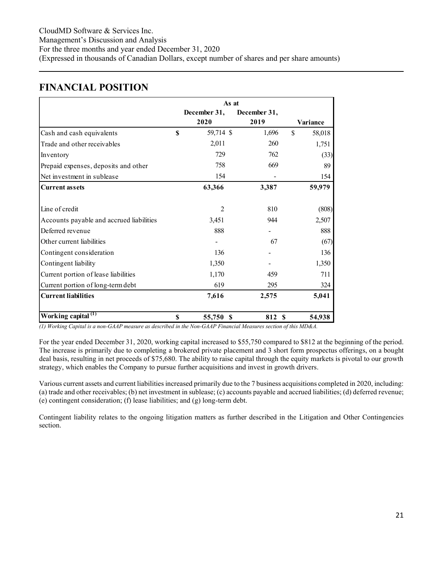### <span id="page-20-0"></span>**FINANCIAL POSITION**

|                                          |             | As at          |              |               |          |
|------------------------------------------|-------------|----------------|--------------|---------------|----------|
|                                          |             | December 31,   | December 31, |               |          |
|                                          |             | 2020           | 2019         |               | Variance |
| Cash and cash equivalents                | $\mathbf S$ | 59,714 \$      | 1,696        | $\mathcal{S}$ | 58,018   |
| Trade and other receivables              |             | 2,011          | 260          |               | 1,751    |
| Inventory                                |             | 729            | 762          |               | (33)     |
| Prepaid expenses, deposits and other     |             | 758            | 669          |               | 89       |
| Net investment in sublease               |             | 154            |              |               | 154      |
| <b>Current assets</b>                    |             | 63,366         | 3,387        |               | 59,979   |
|                                          |             |                |              |               |          |
| Line of credit                           |             | $\overline{2}$ | 810          |               | (808)    |
| Accounts payable and accrued liabilities |             | 3,451          | 944          |               | 2,507    |
| Deferred revenue                         |             | 888            |              |               | 888      |
| Other current liabilities                |             |                | 67           |               | (67)     |
| Contingent consideration                 |             | 136            |              |               | 136      |
| Contingent liability                     |             | 1,350          |              |               | 1,350    |
| Current portion of lease liabilities     |             | 1,170          | 459          |               | 711      |
| Current portion of long-term debt        |             | 619            | 295          |               | 324      |
| <b>Current liabilities</b>               |             | 7,616          | 2,575        |               | 5,041    |
| Working capital <sup>(1)</sup>           | \$          | 55,750<br>S    | 812 S        |               | 54,938   |

*(1) Working Capital is a non-GAAP measure as described in the Non-GAAP Financial Measures section of this MD&A.* 

For the year ended December 31, 2020, working capital increased to \$55,750 compared to \$812 at the beginning of the period. The increase is primarily due to completing a brokered private placement and 3 short form prospectus offerings, on a bought deal basis, resulting in net proceeds of \$75,680. The ability to raise capital through the equity markets is pivotal to our growth strategy, which enables the Company to pursue further acquisitions and invest in growth drivers.

Various current assets and current liabilities increased primarily due to the 7 business acquisitions completed in 2020, including: (a) trade and other receivables; (b) net investment in sublease; (c) accounts payable and accrued liabilities; (d) deferred revenue; (e) contingent consideration; (f) lease liabilities; and (g) long-term debt.

Contingent liability relates to the ongoing litigation matters as further described in the Litigation and Other Contingencies section.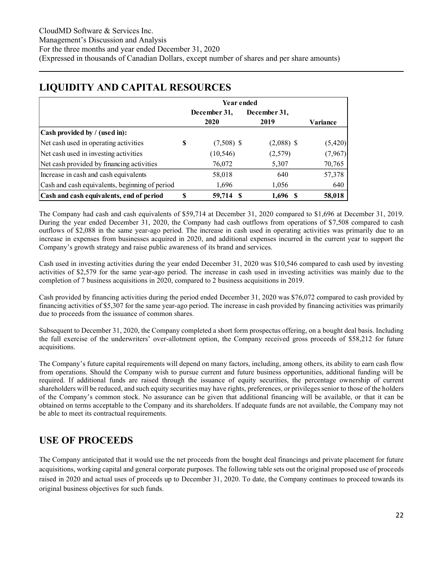|                                                |   | Year ended   |              |                 |
|------------------------------------------------|---|--------------|--------------|-----------------|
|                                                |   | December 31, | December 31, |                 |
|                                                |   | 2020         | 2019         | <b>Variance</b> |
| Cash provided by / (used in):                  |   |              |              |                 |
| Net cash used in operating activities          | S | $(7,508)$ \$ | $(2,088)$ \$ | (5,420)         |
| Net cash used in investing activities          |   | (10, 546)    | (2,579)      | (7,967)         |
| Net cash provided by financing activities      |   | 76,072       | 5,307        | 70,765          |
| Increase in cash and cash equivalents          |   | 58,018       | 640          | 57,378          |
| Cash and cash equivalents, beginning of period |   | 1,696        | 1,056        | 640             |
| Cash and cash equivalents, end of period       | S | 59,714       | 1,696        | 58,018          |

### <span id="page-21-0"></span>**LIQUIDITY AND CAPITAL RESOURCES**

The Company had cash and cash equivalents of \$59,714 at December 31, 2020 compared to \$1,696 at December 31, 2019. During the year ended December 31, 2020, the Company had cash outflows from operations of \$7,508 compared to cash outflows of \$2,088 in the same year-ago period. The increase in cash used in operating activities was primarily due to an increase in expenses from businesses acquired in 2020, and additional expenses incurred in the current year to support the Company's growth strategy and raise public awareness of its brand and services.

Cash used in investing activities during the year ended December 31, 2020 was \$10,546 compared to cash used by investing activities of \$2,579 for the same year-ago period. The increase in cash used in investing activities was mainly due to the completion of 7 business acquisitions in 2020, compared to 2 business acquisitions in 2019.

Cash provided by financing activities during the period ended December 31, 2020 was \$76,072 compared to cash provided by financing activities of \$5,307 for the same year-ago period. The increase in cash provided by financing activities was primarily due to proceeds from the issuance of common shares.

Subsequent to December 31, 2020, the Company completed a short form prospectus offering, on a bought deal basis. Including the full exercise of the underwriters' over-allotment option, the Company received gross proceeds of \$58,212 for future acquisitions.

The Company's future capital requirements will depend on many factors, including, among others, its ability to earn cash flow from operations. Should the Company wish to pursue current and future business opportunities, additional funding will be required. If additional funds are raised through the issuance of equity securities, the percentage ownership of current shareholders will be reduced, and such equity securities may have rights, preferences, or privileges senior to those of the holders of the Company's common stock. No assurance can be given that additional financing will be available, or that it can be obtained on terms acceptable to the Company and its shareholders. If adequate funds are not available, the Company may not be able to meet its contractual requirements.

### <span id="page-21-1"></span>**USE OF PROCEEDS**

The Company anticipated that it would use the net proceeds from the bought deal financings and private placement for future acquisitions, working capital and general corporate purposes. The following table sets out the original proposed use of proceeds raised in 2020 and actual uses of proceeds up to December 31, 2020. To date, the Company continues to proceed towards its original business objectives for such funds.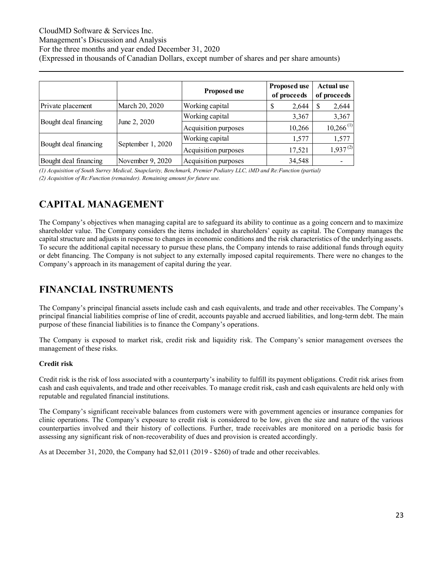#### CloudMD Software & Services Inc.

Management's Discussion and Analysis

For the three months and year ended December 31, 2020

(Expressed in thousands of Canadian Dollars, except number of shares and per share amounts)

|                       |                   | <b>Proposed use</b>  | <b>Proposed use</b><br>of proceeds | <b>Actual use</b><br>of proceeds |  |  |
|-----------------------|-------------------|----------------------|------------------------------------|----------------------------------|--|--|
| Private placement     | March 20, 2020    | Working capital      | 2,644<br>J                         | \$<br>2,644                      |  |  |
| Bought deal financing |                   | Working capital      | 3,367                              | 3,367                            |  |  |
|                       | June 2, 2020      | Acquisition purposes | 10,266                             | $10,266$ <sup>(1)</sup>          |  |  |
| Bought deal financing |                   | Working capital      | 1,577                              | 1,577                            |  |  |
|                       | September 1, 2020 | Acquisition purposes | 17,521                             | $1,937^{(2)}$                    |  |  |
| Bought deal financing | November 9, 2020  | Acquisition purposes | 34,548                             |                                  |  |  |

*(1) Acquisition of South Surrey Medical, Snapclarity, Benchmark, Premier Podiatry LLC, iMD and Re:Function (partial) (2) Acquisition of Re:Function (remainder). Remaining amount for future use.* 

# <span id="page-22-0"></span>**CAPITAL MANAGEMENT**

The Company's objectives when managing capital are to safeguard its ability to continue as a going concern and to maximize shareholder value. The Company considers the items included in shareholders' equity as capital. The Company manages the capital structure and adjusts in response to changes in economic conditions and the risk characteristics of the underlying assets. To secure the additional capital necessary to pursue these plans, the Company intends to raise additional funds through equity or debt financing. The Company is not subject to any externally imposed capital requirements. There were no changes to the Company's approach in its management of capital during the year.

# <span id="page-22-1"></span>**FINANCIAL INSTRUMENTS**

The Company's principal financial assets include cash and cash equivalents, and trade and other receivables. The Company's principal financial liabilities comprise of line of credit, accounts payable and accrued liabilities, and long-term debt. The main purpose of these financial liabilities is to finance the Company's operations.

The Company is exposed to market risk, credit risk and liquidity risk. The Company's senior management oversees the management of these risks.

#### **Credit risk**

Credit risk is the risk of loss associated with a counterparty's inability to fulfill its payment obligations. Credit risk arises from cash and cash equivalents, and trade and other receivables. To manage credit risk, cash and cash equivalents are held only with reputable and regulated financial institutions.

The Company's significant receivable balances from customers were with government agencies or insurance companies for clinic operations. The Company's exposure to credit risk is considered to be low, given the size and nature of the various counterparties involved and their history of collections. Further, trade receivables are monitored on a periodic basis for assessing any significant risk of non-recoverability of dues and provision is created accordingly.

As at December 31, 2020, the Company had \$2,011 (2019 - \$260) of trade and other receivables.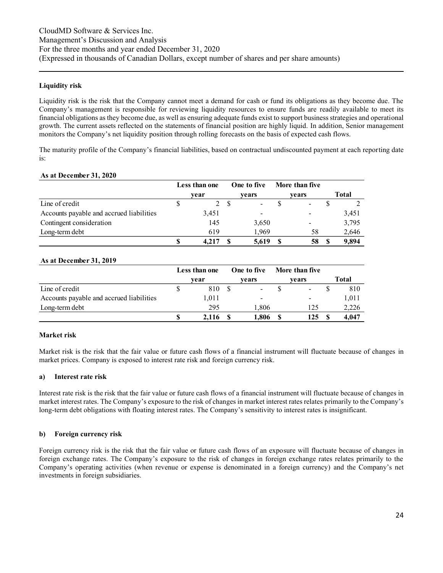#### **Liquidity risk**

Liquidity risk is the risk that the Company cannot meet a demand for cash or fund its obligations as they become due. The Company's management is responsible for reviewing liquidity resources to ensure funds are readily available to meet its financial obligations as they become due, as well as ensuring adequate funds exist to support business strategies and operational growth. The current assets reflected on the statements of financial position are highly liquid. In addition, Senior management monitors the Company's net liquidity position through rolling forecasts on the basis of expected cash flows.

The maturity profile of the Company's financial liabilities, based on contractual undiscounted payment at each reporting date is:

#### **As at December 31, 2020**

|                                          | Less than one | One to five | More than five           |       |
|------------------------------------------|---------------|-------------|--------------------------|-------|
|                                          | vear          | vears       | vears                    | Total |
| Line of credit                           | 2             |             | $\overline{\phantom{a}}$ |       |
| Accounts payable and accrued liabilities | 3,451         |             | $\,$                     | 3.451 |
| Contingent consideration                 | 145           | 3,650       | $\overline{\phantom{a}}$ | 3,795 |
| Long-term debt                           | 619           | 1.969       | 58                       | 2,646 |
|                                          | 4.217         | 5,619       | 58                       | 9.894 |

#### **As at December 31, 2019**

|                                          |   | Less than one | One to five | More than five           |       |
|------------------------------------------|---|---------------|-------------|--------------------------|-------|
|                                          |   | vear          | vears       | vears                    | Total |
| Line of credit                           |   | 810           | $\,$        | $\overline{\phantom{a}}$ | 810   |
| Accounts payable and accrued liabilities |   | 1.011         | $\,$        | $\overline{\phantom{a}}$ | 1,011 |
| Long-term debt                           |   | 295           | 1.806       | 125                      | 2,226 |
|                                          | S | 2.116         | 1.806       | 125                      | 4.047 |

#### **Market risk**

Market risk is the risk that the fair value or future cash flows of a financial instrument will fluctuate because of changes in market prices. Company is exposed to interest rate risk and foreign currency risk.

#### **a) Interest rate risk**

Interest rate risk is the risk that the fair value or future cash flows of a financial instrument will fluctuate because of changes in market interest rates. The Company's exposure to the risk of changes in market interest rates relates primarily to the Company's long-term debt obligations with floating interest rates. The Company's sensitivity to interest rates is insignificant.

#### **b) Foreign currency risk**

Foreign currency risk is the risk that the fair value or future cash flows of an exposure will fluctuate because of changes in foreign exchange rates. The Company's exposure to the risk of changes in foreign exchange rates relates primarily to the Company's operating activities (when revenue or expense is denominated in a foreign currency) and the Company's net investments in foreign subsidiaries.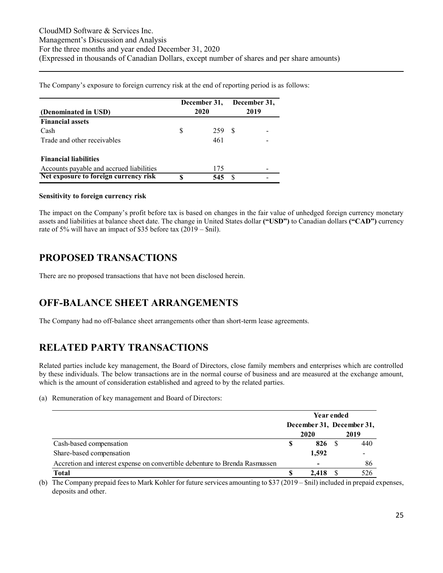The Company's exposure to foreign currency risk at the end of reporting period is as follows:

| (Denominated in USD)                     |    | December 31,<br>2020 | December 31,<br>2019 |  |  |
|------------------------------------------|----|----------------------|----------------------|--|--|
| <b>Financial assets</b>                  |    |                      |                      |  |  |
| Cash                                     | S  | 259                  | -8                   |  |  |
| Trade and other receivables              |    | 461                  |                      |  |  |
| <b>Financial liabilities</b>             |    |                      |                      |  |  |
| Accounts payable and accrued liabilities |    | 175                  |                      |  |  |
| Net exposure to foreign currency risk    | \$ | 545                  |                      |  |  |

#### **Sensitivity to foreign currency risk**

The impact on the Company's profit before tax is based on changes in the fair value of unhedged foreign currency monetary assets and liabilities at balance sheet date. The change in United States dollar **("USD")** to Canadian dollars **("CAD")** currency rate of 5% will have an impact of \$35 before tax (2019 – \$nil).

### <span id="page-24-0"></span>**PROPOSED TRANSACTIONS**

There are no proposed transactions that have not been disclosed herein.

### <span id="page-24-1"></span>**OFF-BALANCE SHEET ARRANGEMENTS**

The Company had no off-balance sheet arrangements other than short-term lease agreements.

# <span id="page-24-2"></span>**RELATED PARTY TRANSACTIONS**

Related parties include key management, the Board of Directors, close family members and enterprises which are controlled by these individuals. The below transactions are in the normal course of business and are measured at the exchange amount, which is the amount of consideration established and agreed to by the related parties.

#### (a) Remuneration of key management and Board of Directors:

|                                                                             | Year ended                |                          |  |                          |  |
|-----------------------------------------------------------------------------|---------------------------|--------------------------|--|--------------------------|--|
|                                                                             | December 31, December 31, |                          |  |                          |  |
|                                                                             |                           | 2020                     |  | 2019                     |  |
| Cash-based compensation                                                     | \$                        | 826                      |  | 440                      |  |
| Share-based compensation                                                    |                           | 1,592                    |  | $\overline{\phantom{0}}$ |  |
| Accretion and interest expense on convertible debenture to Brenda Rasmussen |                           | $\overline{\phantom{0}}$ |  | 86                       |  |
| <b>Total</b>                                                                |                           | 2.418                    |  | 526                      |  |

(b) The Company prepaid fees to Mark Kohler for future services amounting to \$37 (2019 – \$nil) included in prepaid expenses, deposits and other.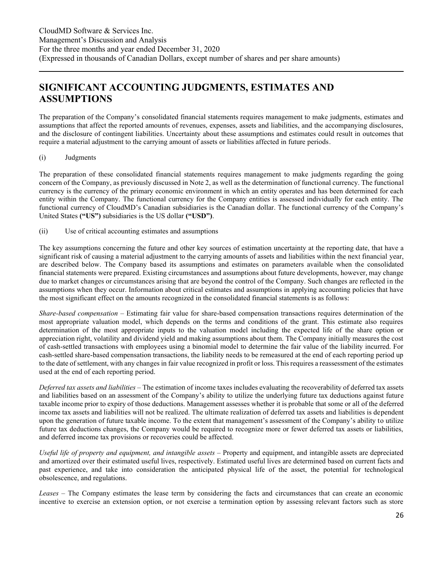# <span id="page-25-0"></span>**SIGNIFICANT ACCOUNTING JUDGMENTS, ESTIMATES AND ASSUMPTIONS**

The preparation of the Company's consolidated financial statements requires management to make judgments, estimates and assumptions that affect the reported amounts of revenues, expenses, assets and liabilities, and the accompanying disclosures, and the disclosure of contingent liabilities. Uncertainty about these assumptions and estimates could result in outcomes that require a material adjustment to the carrying amount of assets or liabilities affected in future periods.

#### (i) Judgments

The preparation of these consolidated financial statements requires management to make judgments regarding the going concern of the Company, as previously discussed in Note 2, as well as the determination of functional currency. The functional currency is the currency of the primary economic environment in which an entity operates and has been determined for each entity within the Company. The functional currency for the Company entities is assessed individually for each entity. The functional currency of CloudMD's Canadian subsidiaries is the Canadian dollar. The functional currency of the Company's United States **("US")** subsidiaries is the US dollar **("USD")**.

(ii) Use of critical accounting estimates and assumptions

The key assumptions concerning the future and other key sources of estimation uncertainty at the reporting date, that have a significant risk of causing a material adjustment to the carrying amounts of assets and liabilities within the next financial year, are described below. The Company based its assumptions and estimates on parameters available when the consolidated financial statements were prepared. Existing circumstances and assumptions about future developments, however, may change due to market changes or circumstances arising that are beyond the control of the Company. Such changes are reflected in the assumptions when they occur. Information about critical estimates and assumptions in applying accounting policies that have the most significant effect on the amounts recognized in the consolidated financial statements is as follows:

*Share-based compensation –* Estimating fair value for share-based compensation transactions requires determination of the most appropriate valuation model, which depends on the terms and conditions of the grant. This estimate also requires determination of the most appropriate inputs to the valuation model including the expected life of the share option or appreciation right, volatility and dividend yield and making assumptions about them. The Company initially measures the cost of cash-settled transactions with employees using a binomial model to determine the fair value of the liability incurred. For cash-settled share-based compensation transactions, the liability needs to be remeasured at the end of each reporting period up to the date of settlement, with any changes in fair value recognized in profit or loss. This requires a reassessment of the estimates used at the end of each reporting period.

*Deferred tax assets and liabilities* – The estimation of income taxes includes evaluating the recoverability of deferred tax assets and liabilities based on an assessment of the Company's ability to utilize the underlying future tax deductions against future taxable income prior to expiry of those deductions. Management assesses whether it is probable that some or all of the deferred income tax assets and liabilities will not be realized. The ultimate realization of deferred tax assets and liabilities is dependent upon the generation of future taxable income. To the extent that management's assessment of the Company's ability to utilize future tax deductions changes, the Company would be required to recognize more or fewer deferred tax assets or liabilities, and deferred income tax provisions or recoveries could be affected.

*Useful life of property and equipment, and intangible assets* – Property and equipment, and intangible assets are depreciated and amortized over their estimated useful lives, respectively. Estimated useful lives are determined based on current facts and past experience, and take into consideration the anticipated physical life of the asset, the potential for technological obsolescence, and regulations.

*Leases* – The Company estimates the lease term by considering the facts and circumstances that can create an economic incentive to exercise an extension option, or not exercise a termination option by assessing relevant factors such as store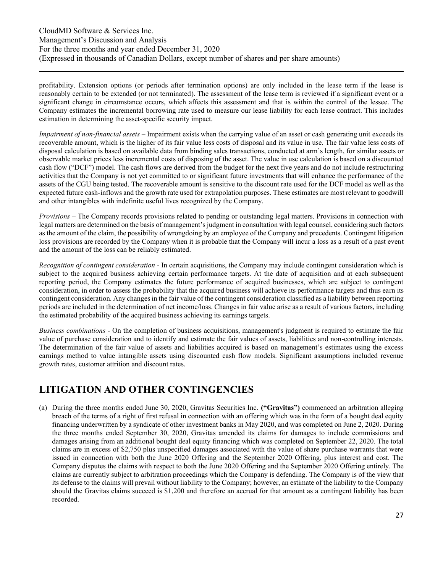profitability. Extension options (or periods after termination options) are only included in the lease term if the lease is reasonably certain to be extended (or not terminated). The assessment of the lease term is reviewed if a significant event or a significant change in circumstance occurs, which affects this assessment and that is within the control of the lessee. The Company estimates the incremental borrowing rate used to measure our lease liability for each lease contract. This includes estimation in determining the asset-specific security impact.

*Impairment of non-financial assets* – Impairment exists when the carrying value of an asset or cash generating unit exceeds its recoverable amount, which is the higher of its fair value less costs of disposal and its value in use. The fair value less costs of disposal calculation is based on available data from binding sales transactions, conducted at arm's length, for similar assets or observable market prices less incremental costs of disposing of the asset. The value in use calculation is based on a discounted cash flow ("DCF") model. The cash flows are derived from the budget for the next five years and do not include restructuring activities that the Company is not yet committed to or significant future investments that will enhance the performance of the assets of the CGU being tested. The recoverable amount is sensitive to the discount rate used for the DCF model as well as the expected future cash-inflows and the growth rate used for extrapolation purposes. These estimates are most relevant to goodwill and other intangibles with indefinite useful lives recognized by the Company.

*Provisions –* The Company records provisions related to pending or outstanding legal matters. Provisions in connection with legal matters are determined on the basis of management's judgment in consultation with legal counsel, considering such factors as the amount of the claim, the possibility of wrongdoing by an employee of the Company and precedents. Contingent litigation loss provisions are recorded by the Company when it is probable that the Company will incur a loss as a result of a past event and the amount of the loss can be reliably estimated.

*Recognition of contingent consideration -* In certain acquisitions, the Company may include contingent consideration which is subject to the acquired business achieving certain performance targets. At the date of acquisition and at each subsequent reporting period, the Company estimates the future performance of acquired businesses, which are subject to contingent consideration, in order to assess the probability that the acquired business will achieve its performance targets and thus earn its contingent consideration. Any changes in the fair value of the contingent consideration classified as a liability between reporting periods are included in the determination of net income/loss. Changes in fair value arise as a result of various factors, including the estimated probability of the acquired business achieving its earnings targets.

*Business combinations -* On the completion of business acquisitions, management's judgment is required to estimate the fair value of purchase consideration and to identify and estimate the fair values of assets, liabilities and non-controlling interests. The determination of the fair value of assets and liabilities acquired is based on management's estimates using the excess earnings method to value intangible assets using discounted cash flow models. Significant assumptions included revenue growth rates, customer attrition and discount rates.

### <span id="page-26-0"></span>**LITIGATION AND OTHER CONTINGENCIES**

(a) During the three months ended June 30, 2020, Gravitas Securities Inc. **("Gravitas")** commenced an arbitration alleging breach of the terms of a right of first refusal in connection with an offering which was in the form of a bought deal equity financing underwritten by a syndicate of other investment banks in May 2020, and was completed on June 2, 2020. During the three months ended September 30, 2020, Gravitas amended its claims for damages to include commissions and damages arising from an additional bought deal equity financing which was completed on September 22, 2020. The total claims are in excess of \$2,750 plus unspecified damages associated with the value of share purchase warrants that were issued in connection with both the June 2020 Offering and the September 2020 Offering, plus interest and cost. The Company disputes the claims with respect to both the June 2020 Offering and the September 2020 Offering entirely. The claims are currently subject to arbitration proceedings which the Company is defending. The Company is of the view that its defense to the claims will prevail without liability to the Company; however, an estimate of the liability to the Company should the Gravitas claims succeed is \$1,200 and therefore an accrual for that amount as a contingent liability has been recorded.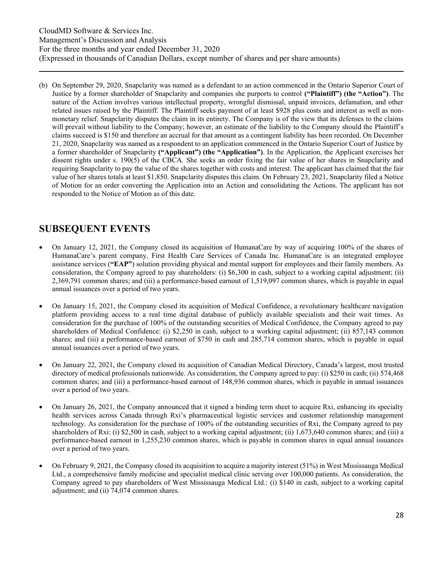(b) On September 29, 2020, Snapclarity was named as a defendant to an action commenced in the Ontario Superior Court of Justice by a former shareholder of Snapclarity and companies she purports to control **("Plaintiff") (the "Action")**. The nature of the Action involves various intellectual property, wrongful dismissal, unpaid invoices, defamation, and other related issues raised by the Plaintiff. The Plaintiff seeks payment of at least \$928 plus costs and interest as well as nonmonetary relief. Snapclarity disputes the claim in its entirety. The Company is of the view that its defenses to the claims will prevail without liability to the Company; however, an estimate of the liability to the Company should the Plaintiff's claims succeed is \$150 and therefore an accrual for that amount as a contingent liability has been recorded. On December 21, 2020, Snapclarity was named as a respondent to an application commenced in the Ontario Superior Court of Justice by a former shareholder of Snapclarity **("Applicant") (the "Application")**. In the Application, the Applicant exercises her dissent rights under s. 190(5) of the CBCA. She seeks an order fixing the fair value of her shares in Snapclarity and requiring Snapclarity to pay the value of the shares together with costs and interest. The applicant has claimed that the fair value of her shares totals at least \$1,850. Snapclarity disputes this claim. On February 23, 2021, Snapclarity filed a Notice of Motion for an order converting the Application into an Action and consolidating the Actions. The applicant has not responded to the Notice of Motion as of this date.

### <span id="page-27-0"></span>**SUBSEQUENT EVENTS**

- On January 12, 2021, the Company closed its acquisition of HumanaCare by way of acquiring 100% of the shares of HumanaCare's parent company, First Health Care Services of Canada Inc. HumanaCare is an integrated employee assistance services (**"EAP"**) solution providing physical and mental support for employees and their family members. As consideration, the Company agreed to pay shareholders: (i) \$6,300 in cash, subject to a working capital adjustment; (ii) 2,369,791 common shares; and (iii) a performance-based earnout of 1,519,097 common shares, which is payable in equal annual issuances over a period of two years.
- On January 15, 2021, the Company closed its acquisition of Medical Confidence, a revolutionary healthcare navigation platform providing access to a real time digital database of publicly available specialists and their wait times. As consideration for the purchase of 100% of the outstanding securities of Medical Confidence, the Company agreed to pay shareholders of Medical Confidence: (i) \$2,250 in cash, subject to a working capital adjustment; (ii) 857,143 common shares; and (iii) a performance-based earnout of \$750 in cash and 285,714 common shares, which is payable in equal annual issuances over a period of two years.
- On January 22, 2021, the Company closed its acquisition of Canadian Medical Directory, Canada's largest, most trusted directory of medical professionals nationwide. As consideration, the Company agreed to pay: (i) \$250 in cash; (ii) 574,468 common shares; and (iii) a performance-based earnout of 148,936 common shares, which is payable in annual issuances over a period of two years.
- On January 26, 2021, the Company announced that it signed a binding term sheet to acquire Rxi, enhancing its specialty health services across Canada through Rxi's pharmaceutical logistic services and customer relationship management technology. As consideration for the purchase of 100% of the outstanding securities of Rxi, the Company agreed to pay shareholders of Rxi: (i) \$2,500 in cash, subject to a working capital adjustment; (ii) 1,673,640 common shares; and (iii) a performance-based earnout in 1,255,230 common shares, which is payable in common shares in equal annual issuances over a period of two years.
- On February 9, 2021, the Company closed its acquisition to acquire a majority interest (51%) in West Mississauga Medical Ltd., a comprehensive family medicine and specialist medical clinic serving over 100,000 patients. As consideration, the Company agreed to pay shareholders of West Mississauga Medical Ltd.: (i) \$140 in cash, subject to a working capital adjustment; and (ii) 74,074 common shares.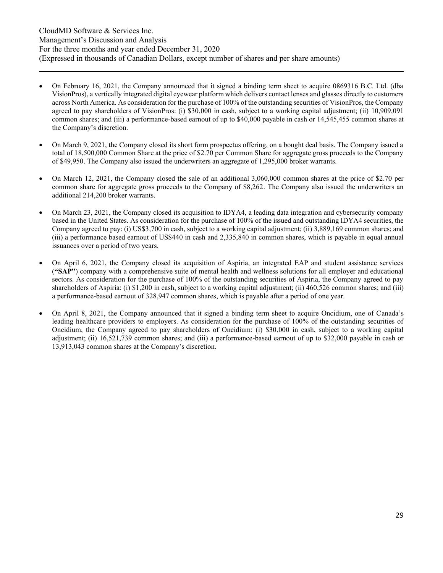- On February 16, 2021, the Company announced that it signed a binding term sheet to acquire 0869316 B.C. Ltd. (dba VisionPros), a vertically integrated digital eyewear platform which delivers contact lenses and glasses directly to customers across North America. As consideration for the purchase of 100% of the outstanding securities of VisionPros, the Company agreed to pay shareholders of VisionPros: (i) \$30,000 in cash, subject to a working capital adjustment; (ii) 10,909,091 common shares; and (iii) a performance-based earnout of up to \$40,000 payable in cash or 14,545,455 common shares at the Company's discretion.
- On March 9, 2021, the Company closed its short form prospectus offering, on a bought deal basis. The Company issued a total of 18,500,000 Common Share at the price of \$2.70 per Common Share for aggregate gross proceeds to the Company of \$49,950. The Company also issued the underwriters an aggregate of 1,295,000 broker warrants.
- On March 12, 2021, the Company closed the sale of an additional 3,060,000 common shares at the price of \$2.70 per common share for aggregate gross proceeds to the Company of \$8,262. The Company also issued the underwriters an additional 214,200 broker warrants.
- On March 23, 2021, the Company closed its acquisition to IDYA4, a leading data integration and cybersecurity company based in the United States. As consideration for the purchase of 100% of the issued and outstanding IDYA4 securities, the Company agreed to pay: (i) US\$3,700 in cash, subject to a working capital adjustment; (ii) 3,889,169 common shares; and (iii) a performance based earnout of US\$440 in cash and 2,335,840 in common shares, which is payable in equal annual issuances over a period of two years.
- On April 6, 2021, the Company closed its acquisition of Aspiria, an integrated EAP and student assistance services (**"SAP"**) company with a comprehensive suite of mental health and wellness solutions for all employer and educational sectors. As consideration for the purchase of 100% of the outstanding securities of Aspiria, the Company agreed to pay shareholders of Aspiria: (i) \$1,200 in cash, subject to a working capital adjustment; (ii) 460,526 common shares; and (iii) a performance-based earnout of 328,947 common shares, which is payable after a period of one year.
- On April 8, 2021, the Company announced that it signed a binding term sheet to acquire Oncidium, one of Canada's leading healthcare providers to employers. As consideration for the purchase of 100% of the outstanding securities of Oncidium, the Company agreed to pay shareholders of Oncidium: (i) \$30,000 in cash, subject to a working capital adjustment; (ii) 16,521,739 common shares; and (iii) a performance-based earnout of up to \$32,000 payable in cash or 13,913,043 common shares at the Company's discretion.